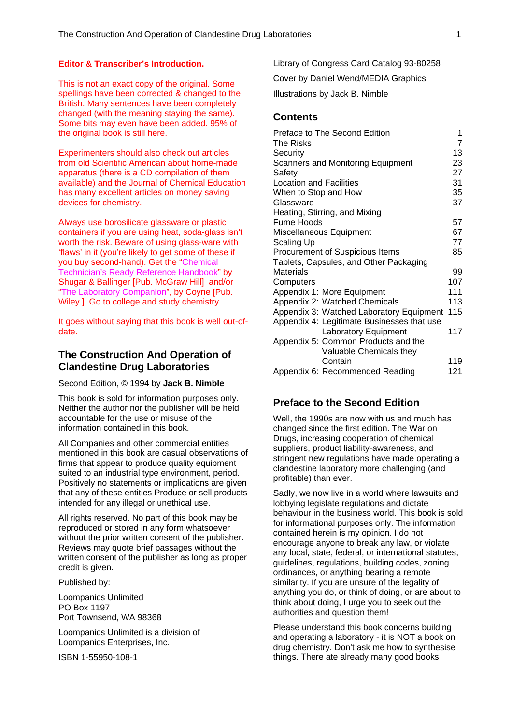### **Editor & Transcriber's Introduction.**

This is not an exact copy of the original. Some spellings have been corrected & changed to the British. Many sentences have been completely changed (with the meaning staying the same). Some bits may even have been added. 95% of the original book is still here.

Experimenters should also check out articles from old Scientific American about home-made apparatus (there is a CD compilation of them available) and the Journal of Chemical Education has many excellent articles on money saving devices for chemistry.

Always use borosilicate glassware or plastic containers if you are using heat, soda-glass isn't worth the risk. Beware of using glass-ware with 'flaws' in it (you're likely to get some of these if you buy second-hand). Get the "Chemical Technician's Ready Reference Handbook" by Shugar & Ballinger [Pub. McGraw Hill] and/or "The Laboratory Companion", by Coyne [Pub. Wiley.]. Go to college and study chemistry.

It goes without saying that this book is well out-ofdate.

# **The Construction And Operation of Clandestine Drug Laboratories**

Second Edition, © 1994 by **Jack B. Nimble**

This book is sold for information purposes only. Neither the author nor the publisher will be held accountable for the use or misuse of the information contained in this book.

All Companies and other commercial entities mentioned in this book are casual observations of firms that appear to produce quality equipment suited to an industrial type environment, period. Positively no statements or implications are given that any of these entities Produce or sell products intended for any illegal or unethical use.

All rights reserved. No part of this book may be reproduced or stored in any form whatsoever without the prior written consent of the publisher. Reviews may quote brief passages without the written consent of the publisher as long as proper credit is given.

Published by:

Loompanics Unlimited PO Box 1197 Port Townsend, WA 98368

Loompanics Unlimited is a division of Loompanics Enterprises, Inc.

ISBN 1-55950-108-1

Library of Congress Card Catalog 93-80258

Cover by Daniel Wend/MEDIA Graphics

Illustrations by Jack B. Nimble

## **Contents**

| Preface to The Second Edition<br>The Risks | 1<br>$\overline{7}$ |
|--------------------------------------------|---------------------|
|                                            | 13                  |
| Security                                   | 23                  |
| <b>Scanners and Monitoring Equipment</b>   |                     |
| Safety                                     | 27                  |
| <b>Location and Facilities</b>             | 31                  |
| When to Stop and How                       | 35                  |
| Glassware                                  | 37                  |
| Heating, Stirring, and Mixing              |                     |
| Fume Hoods                                 | 57                  |
| Miscellaneous Equipment                    | 67                  |
| Scaling Up                                 | 77                  |
| <b>Procurement of Suspicious Items</b>     | 85                  |
| Tablets, Capsules, and Other Packaging     |                     |
| Materials                                  | 99                  |
| Computers                                  | 107                 |
| Appendix 1: More Equipment                 | 111                 |
| Appendix 2: Watched Chemicals              | 113                 |
| Appendix 3: Watched Laboratory Equipment   | 115                 |
| Appendix 4: Legitimate Businesses that use |                     |
| <b>Laboratory Equipment</b>                | 117                 |
| Appendix 5: Common Products and the        |                     |
| Valuable Chemicals they                    |                     |
| Contain                                    | 119                 |
| Appendix 6: Recommended Reading            | 121                 |

# **Preface to the Second Edition**

Well, the 1990s are now with us and much has changed since the first edition. The War on Drugs, increasing cooperation of chemical suppliers, product liability-awareness, and stringent new regulations have made operating a clandestine laboratory more challenging (and profitable) than ever.

Sadly, we now live in a world where lawsuits and lobbying legislate regulations and dictate behaviour in the business world. This book is sold for informational purposes only. The information contained herein is my opinion. I do not encourage anyone to break any law, or violate any local, state, federal, or international statutes, guidelines, regulations, building codes, zoning ordinances, or anything bearing a remote similarity. If you are unsure of the legality of anything you do, or think of doing, or are about to think about doing, I urge you to seek out the authorities and question them!

Please understand this book concerns building and operating a laboratory - it is NOT a book on drug chemistry. Don't ask me how to synthesise things. There ate already many good books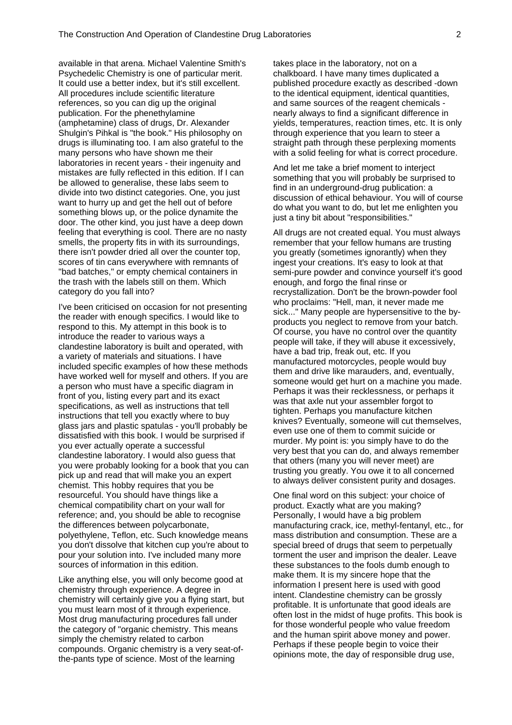available in that arena. Michael Valentine Smith's Psychedelic Chemistry is one of particular merit. It could use a better index, but it's still excellent. All procedures include scientific literature references, so you can dig up the original publication. For the phenethylamine (amphetamine) class of drugs, Dr. Alexander Shulgin's Pihkal is "the book." His philosophy on drugs is illuminating too. I am also grateful to the many persons who have shown me their laboratories in recent years - their ingenuity and mistakes are fully reflected in this edition. If I can be allowed to generalise, these labs seem to divide into two distinct categories. One, you just want to hurry up and get the hell out of before something blows up, or the police dynamite the door. The other kind, you just have a deep down feeling that everything is cool. There are no nasty smells, the property fits in with its surroundings, there isn't powder dried all over the counter top, scores of tin cans everywhere with remnants of "bad batches," or empty chemical containers in the trash with the labels still on them. Which category do you fall into?

I've been criticised on occasion for not presenting the reader with enough specifics. I would like to respond to this. My attempt in this book is to introduce the reader to various ways a clandestine laboratory is built and operated, with a variety of materials and situations. I have included specific examples of how these methods have worked well for myself and others. If you are a person who must have a specific diagram in front of you, listing every part and its exact specifications, as well as instructions that tell instructions that tell you exactly where to buy glass jars and plastic spatulas - you'll probably be dissatisfied with this book. I would be surprised if you ever actually operate a successful clandestine laboratory. I would also guess that you were probably looking for a book that you can pick up and read that will make you an expert chemist. This hobby requires that you be resourceful. You should have things like a chemical compatibility chart on your wall for reference; and, you should be able to recognise the differences between polycarbonate, polyethylene, Teflon, etc. Such knowledge means you don't dissolve that kitchen cup you're about to pour your solution into. I've included many more sources of information in this edition.

Like anything else, you will only become good at chemistry through experience. A degree in chemistry will certainly give you a flying start, but you must learn most of it through experience. Most drug manufacturing procedures fall under the category of "organic chemistry. This means simply the chemistry related to carbon compounds. Organic chemistry is a very seat-ofthe-pants type of science. Most of the learning

takes place in the laboratory, not on a chalkboard. I have many times duplicated a published procedure exactly as described -down to the identical equipment, identical quantities, and same sources of the reagent chemicals nearly always to find a significant difference in yields, temperatures, reaction times, etc. It is only through experience that you learn to steer a straight path through these perplexing moments with a solid feeling for what is correct procedure.

And let me take a brief moment to interject something that you will probably be surprised to find in an underground-drug publication: a discussion of ethical behaviour. You will of course do what you want to do, but let me enlighten you just a tiny bit about "responsibilities."

All drugs are not created equal. You must always remember that your fellow humans are trusting you greatly (sometimes ignorantly) when they ingest your creations. It's easy to look at that semi-pure powder and convince yourself it's good enough, and forgo the final rinse or recrystallization. Don't be the brown-powder fool who proclaims: "Hell, man, it never made me sick..." Many people are hypersensitive to the byproducts you neglect to remove from your batch. Of course, you have no control over the quantity people will take, if they will abuse it excessively, have a bad trip, freak out, etc. If you manufactured motorcycles, people would buy them and drive like marauders, and, eventually, someone would get hurt on a machine you made. Perhaps it was their recklessness, or perhaps it was that axle nut your assembler forgot to tighten. Perhaps you manufacture kitchen knives? Eventually, someone will cut themselves, even use one of them to commit suicide or murder. My point is: you simply have to do the very best that you can do, and always remember that others (many you will never meet) are trusting you greatly. You owe it to all concerned to always deliver consistent purity and dosages.

One final word on this subject: your choice of product. Exactly what are you making? Personally, I would have a big problem manufacturing crack, ice, methyl-fentanyl, etc., for mass distribution and consumption. These are a special breed of drugs that seem to perpetually torment the user and imprison the dealer. Leave these substances to the fools dumb enough to make them. It is my sincere hope that the information I present here is used with good intent. Clandestine chemistry can be grossly profitable. It is unfortunate that good ideals are often lost in the midst of huge profits. This book is for those wonderful people who value freedom and the human spirit above money and power. Perhaps if these people begin to voice their opinions mote, the day of responsible drug use,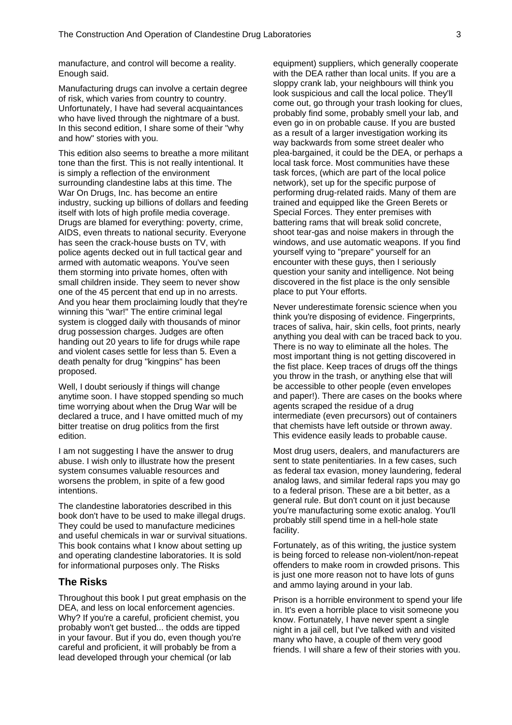manufacture, and control will become a reality. Enough said.

Manufacturing drugs can involve a certain degree of risk, which varies from country to country. Unfortunately, I have had several acquaintances who have lived through the nightmare of a bust. In this second edition, I share some of their "why and how" stories with you.

This edition also seems to breathe a more militant tone than the first. This is not really intentional. It is simply a reflection of the environment surrounding clandestine labs at this time. The War On Drugs, Inc. has become an entire industry, sucking up billions of dollars and feeding itself with lots of high profile media coverage. Drugs are blamed for everything: poverty, crime, AIDS, even threats to national security. Everyone has seen the crack-house busts on TV, with police agents decked out in full tactical gear and armed with automatic weapons. You've seen them storming into private homes, often with small children inside. They seem to never show one of the 45 percent that end up in no arrests. And you hear them proclaiming loudly that they're winning this "war!" The entire criminal legal system is clogged daily with thousands of minor drug possession charges. Judges are often handing out 20 years to life for drugs while rape and violent cases settle for less than 5. Even a death penalty for drug "kingpins" has been proposed.

Well, I doubt seriously if things will change anytime soon. I have stopped spending so much time worrying about when the Drug War will be declared a truce, and I have omitted much of my bitter treatise on drug politics from the first edition.

I am not suggesting I have the answer to drug abuse. I wish only to illustrate how the present system consumes valuable resources and worsens the problem, in spite of a few good intentions.

The clandestine laboratories described in this book don't have to be used to make illegal drugs. They could be used to manufacture medicines and useful chemicals in war or survival situations. This book contains what I know about setting up and operating clandestine laboratories. It is sold for informational purposes only. The Risks

## **The Risks**

Throughout this book I put great emphasis on the DEA, and less on local enforcement agencies. Why? If you're a careful, proficient chemist, you probably won't get busted... the odds are tipped in your favour. But if you do, even though you're careful and proficient, it will probably be from a lead developed through your chemical (or lab

equipment) suppliers, which generally cooperate with the DEA rather than local units. If you are a sloppy crank lab, your neighbours will think you look suspicious and call the local police. They'll come out, go through your trash looking for clues, probably find some, probably smell your lab, and even go in on probable cause. If you are busted as a result of a larger investigation working its way backwards from some street dealer who plea-bargained, it could be the DEA, or perhaps a local task force. Most communities have these task forces, (which are part of the local police network), set up for the specific purpose of performing drug-related raids. Many of them are trained and equipped like the Green Berets or Special Forces. They enter premises with battering rams that will break solid concrete, shoot tear-gas and noise makers in through the windows, and use automatic weapons. If you find yourself vying to "prepare" yourself for an encounter with these guys, then I seriously question your sanity and intelligence. Not being discovered in the fist place is the only sensible place to put Your efforts.

Never underestimate forensic science when you think you're disposing of evidence. Fingerprints, traces of saliva, hair, skin cells, foot prints, nearly anything you deal with can be traced back to you. There is no way to eliminate all the holes. The most important thing is not getting discovered in the fist place. Keep traces of drugs off the things you throw in the trash, or anything else that will be accessible to other people (even envelopes and paper!). There are cases on the books where agents scraped the residue of a drug intermediate (even precursors) out of containers that chemists have left outside or thrown away. This evidence easily leads to probable cause.

Most drug users, dealers, and manufacturers are sent to state penitentiaries. In a few cases, such as federal tax evasion, money laundering, federal analog laws, and similar federal raps you may go to a federal prison. These are a bit better, as a general rule. But don't count on it just because you're manufacturing some exotic analog. You'll probably still spend time in a hell-hole state facility.

Fortunately, as of this writing, the justice system is being forced to release non-violent/non-repeat offenders to make room in crowded prisons. This is just one more reason not to have lots of guns and ammo laying around in your lab.

Prison is a horrible environment to spend your life in. It's even a horrible place to visit someone you know. Fortunately, I have never spent a single night in a jail cell, but I've talked with and visited many who have, a couple of them very good friends. I will share a few of their stories with you.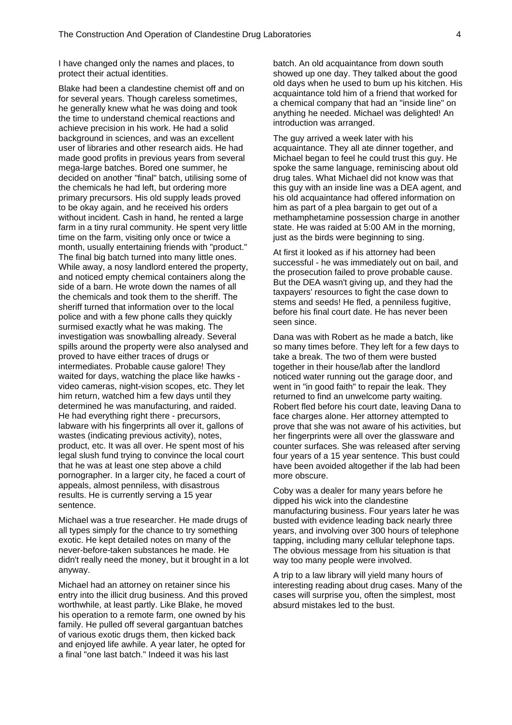I have changed only the names and places, to protect their actual identities.

Blake had been a clandestine chemist off and on for several years. Though careless sometimes, he generally knew what he was doing and took the time to understand chemical reactions and achieve precision in his work. He had a solid background in sciences, and was an excellent user of libraries and other research aids. He had made good profits in previous years from several mega-large batches. Bored one summer, he decided on another "final" batch, utilising some of the chemicals he had left, but ordering more primary precursors. His old supply leads proved to be okay again, and he received his orders without incident. Cash in hand, he rented a large farm in a tiny rural community. He spent very little time on the farm, visiting only once or twice a month, usually entertaining friends with "product." The final big batch turned into many little ones. While away, a nosy landlord entered the property, and noticed empty chemical containers along the side of a barn. He wrote down the names of all the chemicals and took them to the sheriff. The sheriff turned that information over to the local police and with a few phone calls they quickly surmised exactly what he was making. The investigation was snowballing already. Several spills around the property were also analysed and proved to have either traces of drugs or intermediates. Probable cause galore! They waited for days, watching the place like hawks video cameras, night-vision scopes, etc. They let him return, watched him a few days until they determined he was manufacturing, and raided. He had everything right there - precursors, labware with his fingerprints all over it, gallons of wastes (indicating previous activity), notes, product, etc. It was all over. He spent most of his legal slush fund trying to convince the local court that he was at least one step above a child pornographer. In a larger city, he faced a court of appeals, almost penniless, with disastrous results. He is currently serving a 15 year sentence.

Michael was a true researcher. He made drugs of all types simply for the chance to try something exotic. He kept detailed notes on many of the never-before-taken substances he made. He didn't really need the money, but it brought in a lot anyway.

Michael had an attorney on retainer since his entry into the illicit drug business. And this proved worthwhile, at least partly. Like Blake, he moved his operation to a remote farm, one owned by his family. He pulled off several gargantuan batches of various exotic drugs them, then kicked back and enjoyed life awhile. A year later, he opted for a final "one last batch." Indeed it was his last

batch. An old acquaintance from down south showed up one day. They talked about the good old days when he used to bum up his kitchen. His acquaintance told him of a friend that worked for a chemical company that had an "inside line" on anything he needed. Michael was delighted! An introduction was arranged.

The guy arrived a week later with his acquaintance. They all ate dinner together, and Michael began to feel he could trust this guy. He spoke the same language, reminiscing about old drug tales. What Michael did not know was that this guy with an inside line was a DEA agent, and his old acquaintance had offered information on him as part of a plea bargain to get out of a methamphetamine possession charge in another state. He was raided at 5:00 AM in the morning, just as the birds were beginning to sing.

At first it looked as if his attorney had been successful - he was immediately out on bail, and the prosecution failed to prove probable cause. But the DEA wasn't giving up, and they had the taxpayers' resources to fight the case down to stems and seeds! He fled, a penniless fugitive, before his final court date. He has never been seen since.

Dana was with Robert as he made a batch, like so many times before. They left for a few days to take a break. The two of them were busted together in their house/lab after the landlord noticed water running out the garage door, and went in "in good faith" to repair the leak. They returned to find an unwelcome party waiting. Robert fled before his court date, leaving Dana to face charges alone. Her attorney attempted to prove that she was not aware of his activities, but her fingerprints were all over the glassware and counter surfaces. She was released after serving four years of a 15 year sentence. This bust could have been avoided altogether if the lab had been more obscure.

Coby was a dealer for many years before he dipped his wick into the clandestine manufacturing business. Four years later he was busted with evidence leading back nearly three years, and involving over 300 hours of telephone tapping, including many cellular telephone taps. The obvious message from his situation is that way too many people were involved.

A trip to a law library will yield many hours of interesting reading about drug cases. Many of the cases will surprise you, often the simplest, most absurd mistakes led to the bust.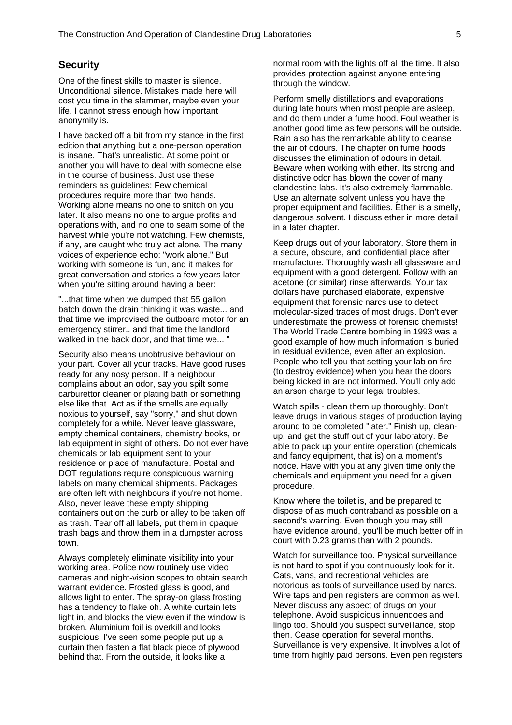### **Security**

One of the finest skills to master is silence. Unconditional silence. Mistakes made here will cost you time in the slammer, maybe even your life. I cannot stress enough how important anonymity is.

I have backed off a bit from my stance in the first edition that anything but a one-person operation is insane. That's unrealistic. At some point or another you will have to deal with someone else in the course of business. Just use these reminders as guidelines: Few chemical procedures require more than two hands. Working alone means no one to snitch on you later. It also means no one to argue profits and operations with, and no one to seam some of the harvest while you're not watching. Few chemists, if any, are caught who truly act alone. The many voices of experience echo: "work alone." But working with someone is fun, and it makes for great conversation and stories a few years later when you're sitting around having a beer:

"...that time when we dumped that 55 gallon batch down the drain thinking it was waste... and that time we improvised the outboard motor for an emergency stirrer.. and that time the landlord walked in the back door, and that time we... "

Security also means unobtrusive behaviour on your part. Cover all your tracks. Have good ruses ready for any nosy person. If a neighbour complains about an odor, say you spilt some carburettor cleaner or plating bath or something else like that. Act as if the smells are equally noxious to yourself, say "sorry," and shut down completely for a while. Never leave glassware, empty chemical containers, chemistry books, or lab equipment in sight of others. Do not ever have chemicals or lab equipment sent to your residence or place of manufacture. Postal and DOT regulations require conspicuous warning labels on many chemical shipments. Packages are often left with neighbours if you're not home. Also, never leave these empty shipping containers out on the curb or alley to be taken off as trash. Tear off all labels, put them in opaque trash bags and throw them in a dumpster across town.

Always completely eliminate visibility into your working area. Police now routinely use video cameras and night-vision scopes to obtain search warrant evidence. Frosted glass is good, and allows light to enter. The spray-on glass frosting has a tendency to flake oh. A white curtain lets light in, and blocks the view even if the window is broken. Aluminium foil is overkill and looks suspicious. I've seen some people put up a curtain then fasten a flat black piece of plywood behind that. From the outside, it looks like a

normal room with the lights off all the time. It also provides protection against anyone entering through the window.

Perform smelly distillations and evaporations during late hours when most people are asleep, and do them under a fume hood. Foul weather is another good time as few persons will be outside. Rain also has the remarkable ability to cleanse the air of odours. The chapter on fume hoods discusses the elimination of odours in detail. Beware when working with ether. Its strong and distinctive odor has blown the cover of many clandestine labs. It's also extremely flammable. Use an alternate solvent unless you have the proper equipment and facilities. Ether is a smelly, dangerous solvent. I discuss ether in more detail in a later chapter.

Keep drugs out of your laboratory. Store them in a secure, obscure, and confidential place after manufacture. Thoroughly wash all glassware and equipment with a good detergent. Follow with an acetone (or similar) rinse afterwards. Your tax dollars have purchased elaborate, expensive equipment that forensic narcs use to detect molecular-sized traces of most drugs. Don't ever underestimate the prowess of forensic chemists! The World Trade Centre bombing in 1993 was a good example of how much information is buried in residual evidence, even after an explosion. People who tell you that setting your lab on fire (to destroy evidence) when you hear the doors being kicked in are not informed. You'll only add an arson charge to your legal troubles.

Watch spills - clean them up thoroughly. Don't leave drugs in various stages of production laying around to be completed "later." Finish up, cleanup, and get the stuff out of your laboratory. Be able to pack up your entire operation (chemicals and fancy equipment, that is) on a moment's notice. Have with you at any given time only the chemicals and equipment you need for a given procedure.

Know where the toilet is, and be prepared to dispose of as much contraband as possible on a second's warning. Even though you may still have evidence around, you'll be much better off in court with 0.23 grams than with 2 pounds.

Watch for surveillance too. Physical surveillance is not hard to spot if you continuously look for it. Cats, vans, and recreational vehicles are notorious as tools of surveillance used by narcs. Wire taps and pen registers are common as well. Never discuss any aspect of drugs on your telephone. Avoid suspicious innuendoes and lingo too. Should you suspect surveillance, stop then. Cease operation for several months. Surveillance is very expensive. It involves a lot of time from highly paid persons. Even pen registers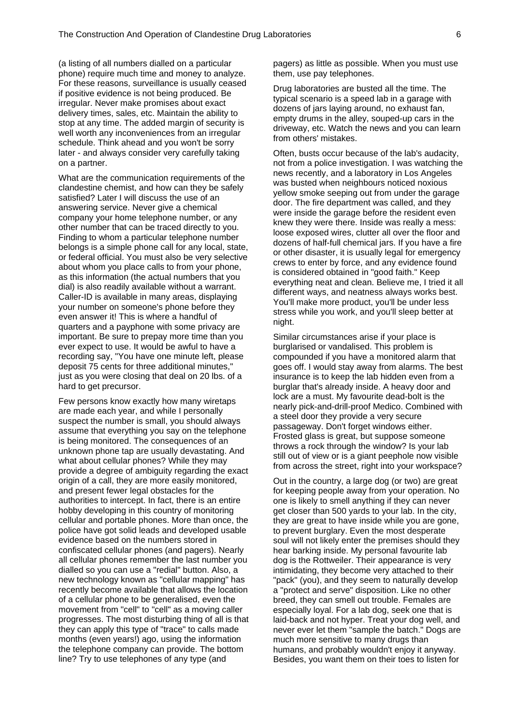(a listing of all numbers dialled on a particular phone) require much time and money to analyze. For these reasons, surveillance is usually ceased if positive evidence is not being produced. Be irregular. Never make promises about exact delivery times, sales, etc. Maintain the ability to stop at any time. The added margin of security is well worth any inconveniences from an irregular schedule. Think ahead and you won't be sorry later - and always consider very carefully taking on a partner.

What are the communication requirements of the clandestine chemist, and how can they be safely satisfied? Later I will discuss the use of an answering service. Never give a chemical company your home telephone number, or any other number that can be traced directly to you. Finding to whom a particular telephone number belongs is a simple phone call for any local, state, or federal official. You must also be very selective about whom you place calls to from your phone, as this information (the actual numbers that you dial) is also readily available without a warrant. Caller-ID is available in many areas, displaying your number on someone's phone before they even answer it! This is where a handful of quarters and a payphone with some privacy are important. Be sure to prepay more time than you ever expect to use. It would be awful to have a recording say, "You have one minute left, please deposit 75 cents for three additional minutes," just as you were closing that deal on 20 lbs. of a hard to get precursor.

Few persons know exactly how many wiretaps are made each year, and while I personally suspect the number is small, you should always assume that everything you say on the telephone is being monitored. The consequences of an unknown phone tap are usually devastating. And what about cellular phones? While they may provide a degree of ambiguity regarding the exact origin of a call, they are more easily monitored, and present fewer legal obstacles for the authorities to intercept. In fact, there is an entire hobby developing in this country of monitoring cellular and portable phones. More than once, the police have got solid leads and developed usable evidence based on the numbers stored in confiscated cellular phones (and pagers). Nearly all cellular phones remember the last number you dialled so you can use a "redial" button. Also, a new technology known as "cellular mapping" has recently become available that allows the location of a cellular phone to be generalised, even the movement from "cell" to "cell" as a moving caller progresses. The most disturbing thing of all is that they can apply this type of "trace" to calls made months (even years!) ago, using the information the telephone company can provide. The bottom line? Try to use telephones of any type (and

pagers) as little as possible. When you must use them, use pay telephones.

Drug laboratories are busted all the time. The typical scenario is a speed lab in a garage with dozens of jars laying around, no exhaust fan, empty drums in the alley, souped-up cars in the driveway, etc. Watch the news and you can learn from others' mistakes.

Often, busts occur because of the lab's audacity, not from a police investigation. I was watching the news recently, and a laboratory in Los Angeles was busted when neighbours noticed noxious yellow smoke seeping out from under the garage door. The fire department was called, and they were inside the garage before the resident even knew they were there. Inside was really a mess: loose exposed wires, clutter all over the floor and dozens of half-full chemical jars. If you have a fire or other disaster, it is usually legal for emergency crews to enter by force, and any evidence found is considered obtained in "good faith." Keep everything neat and clean. Believe me, I tried it all different ways, and neatness always works best. You'll make more product, you'll be under less stress while you work, and you'll sleep better at night.

Similar circumstances arise if your place is burglarised or vandalised. This problem is compounded if you have a monitored alarm that goes off. I would stay away from alarms. The best insurance is to keep the lab hidden even from a burglar that's already inside. A heavy door and lock are a must. My favourite dead-bolt is the nearly pick-and-drill-proof Medico. Combined with a steel door they provide a very secure passageway. Don't forget windows either. Frosted glass is great, but suppose someone throws a rock through the window? Is your lab still out of view or is a giant peephole now visible from across the street, right into your workspace?

Out in the country, a large dog (or two) are great for keeping people away from your operation. No one is likely to smell anything if they can never get closer than 500 yards to your lab. In the city, they are great to have inside while you are gone, to prevent burglary. Even the most desperate soul will not likely enter the premises should they hear barking inside. My personal favourite lab dog is the Rottweiler. Their appearance is very intimidating, they become very attached to their "pack" (you), and they seem to naturally develop a "protect and serve" disposition. Like no other breed, they can smell out trouble. Females are especially loyal. For a lab dog, seek one that is laid-back and not hyper. Treat your dog well, and never ever let them "sample the batch." Dogs are much more sensitive to many drugs than humans, and probably wouldn't enjoy it anyway. Besides, you want them on their toes to listen for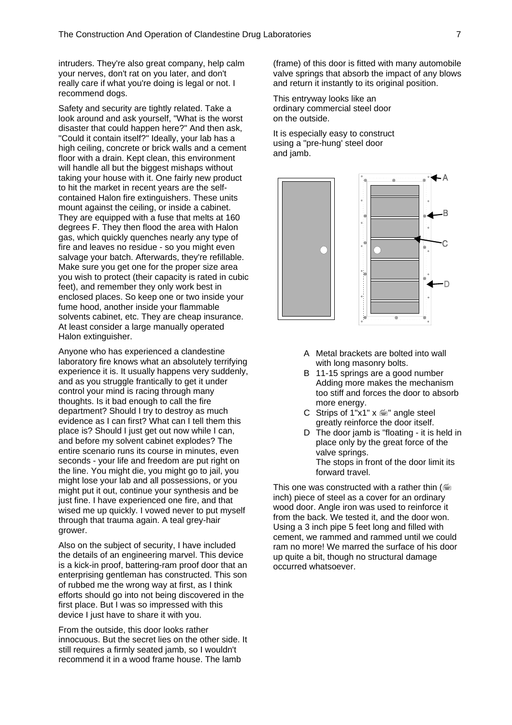intruders. They're also great company, help calm your nerves, don't rat on you later, and don't really care if what you're doing is legal or not. I recommend dogs.

Safety and security are tightly related. Take a look around and ask yourself, "What is the worst disaster that could happen here?" And then ask, "Could it contain itself?" Ideally, your lab has a high ceiling, concrete or brick walls and a cement floor with a drain. Kept clean, this environment will handle all but the biggest mishaps without taking your house with it. One fairly new product to hit the market in recent years are the selfcontained Halon fire extinguishers. These units mount against the ceiling, or inside a cabinet. They are equipped with a fuse that melts at 160 degrees F. They then flood the area with Halon gas, which quickly quenches nearly any type of fire and leaves no residue - so you might even salvage your batch. Afterwards, they're refillable. Make sure you get one for the proper size area you wish to protect (their capacity is rated in cubic feet), and remember they only work best in enclosed places. So keep one or two inside your fume hood, another inside your flammable solvents cabinet, etc. They are cheap insurance. At least consider a large manually operated Halon extinguisher.

Anyone who has experienced a clandestine laboratory fire knows what an absolutely terrifying experience it is. It usually happens very suddenly, and as you struggle frantically to get it under control your mind is racing through many thoughts. Is it bad enough to call the fire department? Should I try to destroy as much evidence as I can first? What can I tell them this place is? Should I just get out now while I can, and before my solvent cabinet explodes? The entire scenario runs its course in minutes, even seconds - your life and freedom are put right on the line. You might die, you might go to jail, you might lose your lab and all possessions, or you might put it out, continue your synthesis and be just fine. I have experienced one fire, and that wised me up quickly. I vowed never to put myself through that trauma again. A teal grey-hair grower.

Also on the subject of security, I have included the details of an engineering marvel. This device is a kick-in proof, battering-ram proof door that an enterprising gentleman has constructed. This son of rubbed me the wrong way at first, as I think efforts should go into not being discovered in the first place. But I was so impressed with this device I just have to share it with you.

From the outside, this door looks rather innocuous. But the secret lies on the other side. It still requires a firmly seated jamb, so I wouldn't recommend it in a wood frame house. The lamb

(frame) of this door is fitted with many automobile valve springs that absorb the impact of any blows and return it instantly to its original position.

This entryway looks like an ordinary commercial steel door on the outside.

It is especially easy to construct using a "pre-hung' steel door and jamb.



- A Metal brackets are bolted into wall with long masonry bolts.
- B 11-15 springs are a good number Adding more makes the mechanism too stiff and forces the door to absorb more energy.
- C Strips of 1"x1"  $x \equiv$ " angle steel greatly reinforce the door itself.
- D The door jamb is "floating it is held in place only by the great force of the valve springs. The stops in front of the door limit its forward travel.

This one was constructed with a rather thin ( $\equiv$ inch) piece of steel as a cover for an ordinary wood door. Angle iron was used to reinforce it from the back. We tested it, and the door won. Using a 3 inch pipe 5 feet long and filled with cement, we rammed and rammed until we could ram no more! We marred the surface of his door up quite a bit, though no structural damage occurred whatsoever.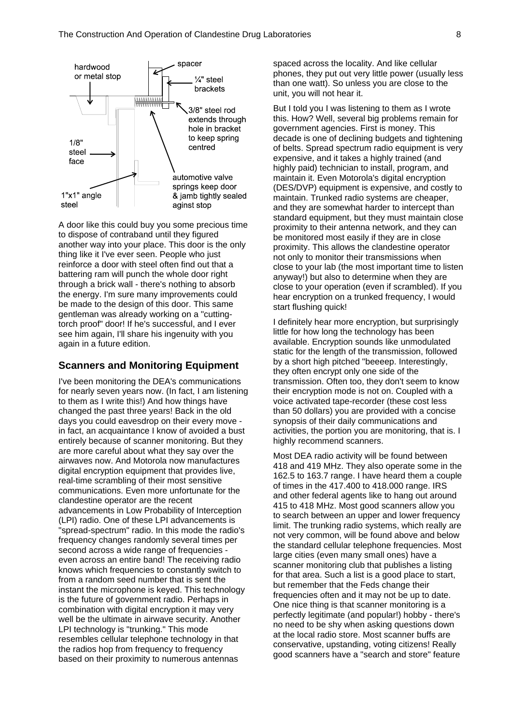

A door like this could buy you some precious time to dispose of contraband until they figured another way into your place. This door is the only thing like it I've ever seen. People who just reinforce a door with steel often find out that a battering ram will punch the whole door right through a brick wall - there's nothing to absorb the energy. I'm sure many improvements could be made to the design of this door. This same gentleman was already working on a "cuttingtorch proof" door! If he's successful, and I ever see him again, I'll share his ingenuity with you again in a future edition.

### **Scanners and Monitoring Equipment**

I've been monitoring the DEA's communications for nearly seven years now. (In fact, I am listening to them as I write this!) And how things have changed the past three years! Back in the old days you could eavesdrop on their every move in fact, an acquaintance I know of avoided a bust entirely because of scanner monitoring. But they are more careful about what they say over the airwaves now. And Motorola now manufactures digital encryption equipment that provides live, real-time scrambling of their most sensitive communications. Even more unfortunate for the clandestine operator are the recent advancements in Low Probability of Interception (LPI) radio. One of these LPI advancements is "spread-spectrum" radio. In this mode the radio's frequency changes randomly several times per second across a wide range of frequencies even across an entire band! The receiving radio knows which frequencies to constantly switch to from a random seed number that is sent the instant the microphone is keyed. This technology is the future of government radio. Perhaps in combination with digital encryption it may very well be the ultimate in airwave security. Another LPI technology is "trunking." This mode resembles cellular telephone technology in that the radios hop from frequency to frequency based on their proximity to numerous antennas

spaced across the locality. And like cellular phones, they put out very little power (usually less than one watt). So unless you are close to the unit, you will not hear it.

But I told you I was listening to them as I wrote this. How? Well, several big problems remain for government agencies. First is money. This decade is one of declining budgets and tightening of belts. Spread spectrum radio equipment is very expensive, and it takes a highly trained (and highly paid) technician to install, program, and maintain it. Even Motorola's digital encryption (DES/DVP) equipment is expensive, and costly to maintain. Trunked radio systems are cheaper, and they are somewhat harder to intercept than standard equipment, but they must maintain close proximity to their antenna network, and they can be monitored most easily if they are in close proximity. This allows the clandestine operator not only to monitor their transmissions when close to your lab (the most important time to listen anyway!) but also to determine when they are close to your operation (even if scrambled). If you hear encryption on a trunked frequency, I would start flushing quick!

I definitely hear more encryption, but surprisingly little for how long the technology has been available. Encryption sounds like unmodulated static for the length of the transmission, followed by a short high pitched "beeeep. Interestingly, they often encrypt only one side of the transmission. Often too, they don't seem to know their encryption mode is not on. Coupled with a voice activated tape-recorder (these cost less than 50 dollars) you are provided with a concise synopsis of their daily communications and activities, the portion you are monitoring, that is. I highly recommend scanners.

Most DEA radio activity will be found between 418 and 419 MHz. They also operate some in the 162.5 to 163.7 range. I have heard them a couple of times in the 417.400 to 418.000 range. IRS and other federal agents like to hang out around 415 to 418 MHz. Most good scanners allow you to search between an upper and lower frequency limit. The trunking radio systems, which really are not very common, will be found above and below the standard cellular telephone frequencies. Most large cities (even many small ones) have a scanner monitoring club that publishes a listing for that area. Such a list is a good place to start, but remember that the Feds change their frequencies often and it may not be up to date. One nice thing is that scanner monitoring is a perfectly legitimate (and popular!) hobby - there's no need to be shy when asking questions down at the local radio store. Most scanner buffs are conservative, upstanding, voting citizens! Really good scanners have a "search and store" feature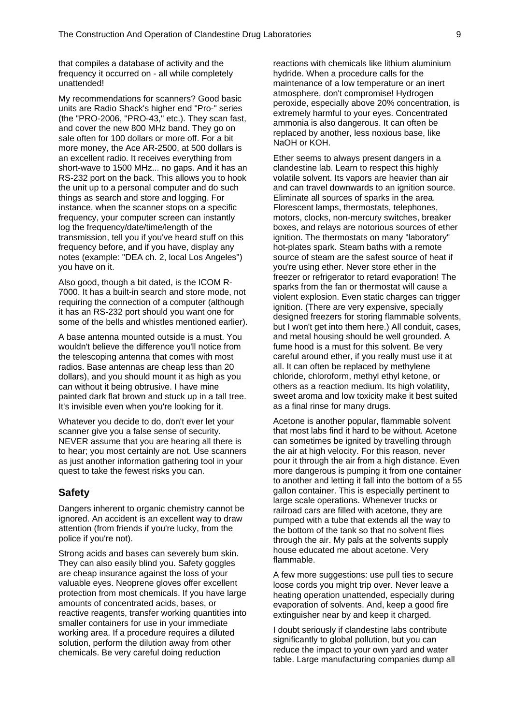that compiles a database of activity and the frequency it occurred on - all while completely unattended!

My recommendations for scanners? Good basic units are Radio Shack's higher end "Pro-" series (the "PRO-2006, "PRO-43," etc.). They scan fast, and cover the new 800 MHz band. They go on sale often for 100 dollars or more off. For a bit more money, the Ace AR-2500, at 500 dollars is an excellent radio. It receives everything from short-wave to 1500 MHz... no gaps. And it has an RS-232 port on the back. This allows you to hook the unit up to a personal computer and do such things as search and store and logging. For instance, when the scanner stops on a specific frequency, your computer screen can instantly log the frequency/date/time/length of the transmission, tell you if you've heard stuff on this frequency before, and if you have, display any notes (example: "DEA ch. 2, local Los Angeles") you have on it.

Also good, though a bit dated, is the ICOM R-7000. It has a built-in search and store mode, not requiring the connection of a computer (although it has an RS-232 port should you want one for some of the bells and whistles mentioned earlier).

A base antenna mounted outside is a must. You wouldn't believe the difference you'll notice from the telescoping antenna that comes with most radios. Base antennas are cheap less than 20 dollars), and you should mount it as high as you can without it being obtrusive. I have mine painted dark flat brown and stuck up in a tall tree. It's invisible even when you're looking for it.

Whatever you decide to do, don't ever let your scanner give you a false sense of security. NEVER assume that you are hearing all there is to hear; you most certainly are not. Use scanners as just another information gathering tool in your quest to take the fewest risks you can.

### **Safety**

Dangers inherent to organic chemistry cannot be ignored. An accident is an excellent way to draw attention (from friends if you're lucky, from the police if you're not).

Strong acids and bases can severely bum skin. They can also easily blind you. Safety goggles are cheap insurance against the loss of your valuable eyes. Neoprene gloves offer excellent protection from most chemicals. If you have large amounts of concentrated acids, bases, or reactive reagents, transfer working quantities into smaller containers for use in your immediate working area. If a procedure requires a diluted solution, perform the dilution away from other chemicals. Be very careful doing reduction

reactions with chemicals like lithium aluminium hydride. When a procedure calls for the maintenance of a low temperature or an inert atmosphere, don't compromise! Hydrogen peroxide, especially above 20% concentration, is extremely harmful to your eyes. Concentrated ammonia is also dangerous. It can often be replaced by another, less noxious base, like NaOH or KOH.

Ether seems to always present dangers in a clandestine lab. Learn to respect this highly volatile solvent. Its vapors are heavier than air and can travel downwards to an ignition source. Eliminate all sources of sparks in the area. Florescent lamps, thermostats, telephones, motors, clocks, non-mercury switches, breaker boxes, and relays are notorious sources of ether ignition. The thermostats on many "laboratory" hot-plates spark. Steam baths with a remote source of steam are the safest source of heat if you're using ether. Never store ether in the freezer or refrigerator to retard evaporation! The sparks from the fan or thermostat will cause a violent explosion. Even static charges can trigger ignition. (There are very expensive, specially designed freezers for storing flammable solvents, but I won't get into them here.) All conduit, cases, and metal housing should be well grounded. A fume hood is a must for this solvent. Be very careful around ether, if you really must use it at all. It can often be replaced by methylene chloride, chloroform, methyl ethyl ketone, or others as a reaction medium. Its high volatility, sweet aroma and low toxicity make it best suited as a final rinse for many drugs.

Acetone is another popular, flammable solvent that most labs find it hard to be without. Acetone can sometimes be ignited by travelling through the air at high velocity. For this reason, never pour it through the air from a high distance. Even more dangerous is pumping it from one container to another and letting it fall into the bottom of a 55 gallon container. This is especially pertinent to large scale operations. Whenever trucks or railroad cars are filled with acetone, they are pumped with a tube that extends all the way to the bottom of the tank so that no solvent flies through the air. My pals at the solvents supply house educated me about acetone. Very flammable.

A few more suggestions: use pull ties to secure loose cords you might trip over. Never leave a heating operation unattended, especially during evaporation of solvents. And, keep a good fire extinguisher near by and keep it charged.

I doubt seriously if clandestine labs contribute significantly to global pollution, but you can reduce the impact to your own yard and water table. Large manufacturing companies dump all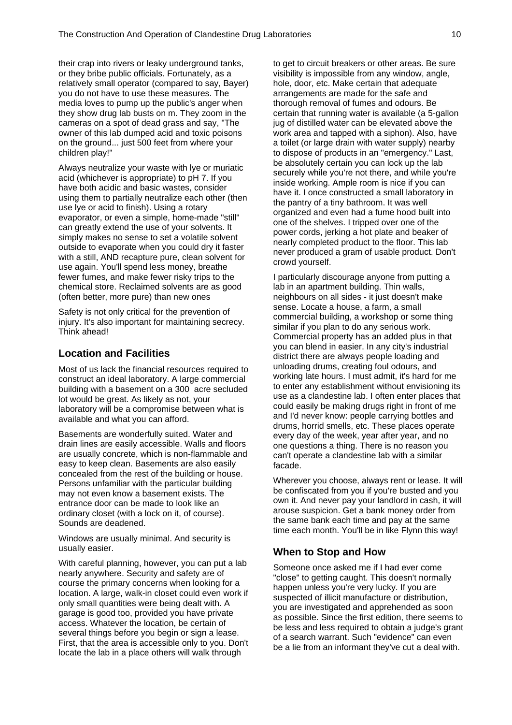their crap into rivers or leaky underground tanks, or they bribe public officials. Fortunately, as a relatively small operator (compared to say, Bayer) you do not have to use these measures. The media loves to pump up the public's anger when they show drug lab busts on m. They zoom in the cameras on a spot of dead grass and say, "The owner of this lab dumped acid and toxic poisons on the ground... just 500 feet from where your children play!"

Always neutralize your waste with lye or muriatic acid (whichever is appropriate) to pH 7. If you have both acidic and basic wastes, consider using them to partially neutralize each other (then use lye or acid to finish). Using a rotary evaporator, or even a simple, home-made "still" can greatly extend the use of your solvents. It simply makes no sense to set a volatile solvent outside to evaporate when you could dry it faster with a still, AND recapture pure, clean solvent for use again. You'll spend less money, breathe fewer fumes, and make fewer risky trips to the chemical store. Reclaimed solvents are as good (often better, more pure) than new ones

Safety is not only critical for the prevention of injury. It's also important for maintaining secrecy. Think ahead!

# **Location and Facilities**

Most of us lack the financial resources required to construct an ideal laboratory. A large commercial building with a basement on a 300 acre secluded lot would be great. As likely as not, your laboratory will be a compromise between what is available and what you can afford.

Basements are wonderfully suited. Water and drain lines are easily accessible. Walls and floors are usually concrete, which is non-flammable and easy to keep clean. Basements are also easily concealed from the rest of the building or house. Persons unfamiliar with the particular building may not even know a basement exists. The entrance door can be made to look like an ordinary closet (with a lock on it, of course). Sounds are deadened.

Windows are usually minimal. And security is usually easier.

With careful planning, however, you can put a lab nearly anywhere. Security and safety are of course the primary concerns when looking for a location. A large, walk-in closet could even work if only small quantities were being dealt with. A garage is good too, provided you have private access. Whatever the location, be certain of several things before you begin or sign a lease. First, that the area is accessible only to you. Don't locate the lab in a place others will walk through

to get to circuit breakers or other areas. Be sure visibility is impossible from any window, angle, hole, door, etc. Make certain that adequate arrangements are made for the safe and thorough removal of fumes and odours. Be certain that running water is available (a 5-gallon jug of distilled water can be elevated above the work area and tapped with a siphon). Also, have a toilet (or large drain with water supply) nearby to dispose of products in an "emergency." Last, be absolutely certain you can lock up the lab securely while you're not there, and while you're inside working. Ample room is nice if you can have it. I once constructed a small laboratory in the pantry of a tiny bathroom. It was well organized and even had a fume hood built into one of the shelves. I tripped over one of the power cords, jerking a hot plate and beaker of nearly completed product to the floor. This lab never produced a gram of usable product. Don't crowd yourself.

I particularly discourage anyone from putting a lab in an apartment building. Thin walls, neighbours on all sides - it just doesn't make sense. Locate a house, a farm, a small commercial building, a workshop or some thing similar if you plan to do any serious work. Commercial property has an added plus in that you can blend in easier. In any city's industrial district there are always people loading and unloading drums, creating foul odours, and working late hours. I must admit, it's hard for me to enter any establishment without envisioning its use as a clandestine lab. I often enter places that could easily be making drugs right in front of me and I'd never know: people carrying bottles and drums, horrid smells, etc. These places operate every day of the week, year after year, and no one questions a thing. There is no reason you can't operate a clandestine lab with a similar facade.

Wherever you choose, always rent or lease. It will be confiscated from you if you're busted and you own it. And never pay your landlord in cash, it will arouse suspicion. Get a bank money order from the same bank each time and pay at the same time each month. You'll be in like Flynn this way!

### **When to Stop and How**

Someone once asked me if I had ever come "close" to getting caught. This doesn't normally happen unless you're very lucky. If you are suspected of illicit manufacture or distribution, you are investigated and apprehended as soon as possible. Since the first edition, there seems to be less and less required to obtain a judge's grant of a search warrant. Such "evidence" can even be a lie from an informant they've cut a deal with.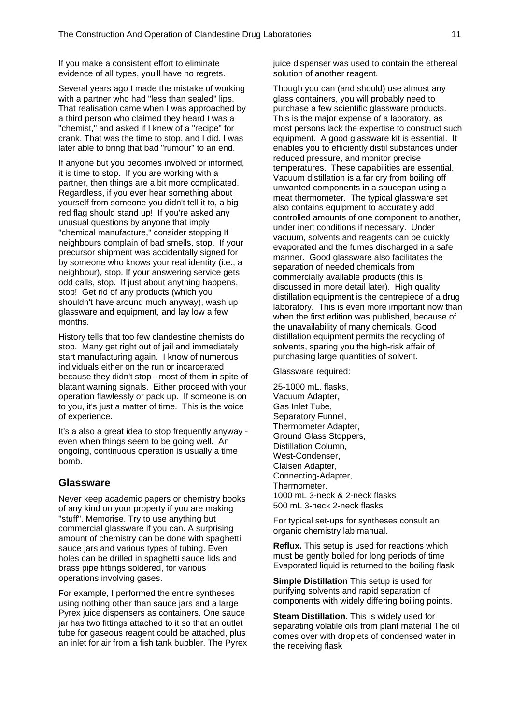If you make a consistent effort to eliminate evidence of all types, you'll have no regrets.

Several years ago I made the mistake of working with a partner who had "less than sealed" lips. That realisation came when I was approached by a third person who claimed they heard I was a "chemist," and asked if I knew of a "recipe" for crank. That was the time to stop, and I did. I was later able to bring that bad "rumour" to an end.

If anyone but you becomes involved or informed, it is time to stop. If you are working with a partner, then things are a bit more complicated. Regardless, if you ever hear something about yourself from someone you didn't tell it to, a big red flag should stand up! If you're asked any unusual questions by anyone that imply "chemical manufacture," consider stopping If neighbours complain of bad smells, stop. If your precursor shipment was accidentally signed for by someone who knows your real identity (i.e., a neighbour), stop. If your answering service gets odd calls, stop. If just about anything happens, stop! Get rid of any products (which you shouldn't have around much anyway), wash up glassware and equipment, and lay low a few months.

History tells that too few clandestine chemists do stop. Many get right out of jail and immediately start manufacturing again. I know of numerous individuals either on the run or incarcerated because they didn't stop - most of them in spite of blatant warning signals. Either proceed with your operation flawlessly or pack up. If someone is on to you, it's just a matter of time. This is the voice of experience.

It's a also a great idea to stop frequently anyway even when things seem to be going well. An ongoing, continuous operation is usually a time bomb.

#### **Glassware**

Never keep academic papers or chemistry books of any kind on your property if you are making "stuff". Memorise. Try to use anything but commercial glassware if you can. A surprising amount of chemistry can be done with spaghetti sauce jars and various types of tubing. Even holes can be drilled in spaghetti sauce lids and brass pipe fittings soldered, for various operations involving gases.

For example, I performed the entire syntheses using nothing other than sauce jars and a large Pyrex juice dispensers as containers. One sauce jar has two fittings attached to it so that an outlet tube for gaseous reagent could be attached, plus an inlet for air from a fish tank bubbler. The Pyrex juice dispenser was used to contain the ethereal solution of another reagent.

Though you can (and should) use almost any glass containers, you will probably need to purchase a few scientific glassware products. This is the major expense of a laboratory, as most persons lack the expertise to construct such equipment. A good glassware kit is essential. It enables you to efficiently distil substances under reduced pressure, and monitor precise temperatures. These capabilities are essential. Vacuum distillation is a far cry from boiling off unwanted components in a saucepan using a meat thermometer. The typical glassware set also contains equipment to accurately add controlled amounts of one component to another, under inert conditions if necessary. Under vacuum, solvents and reagents can be quickly evaporated and the fumes discharged in a safe manner. Good glassware also facilitates the separation of needed chemicals from commercially available products (this is discussed in more detail later). High quality distillation equipment is the centrepiece of a drug laboratory. This is even more important now than when the first edition was published, because of the unavailability of many chemicals. Good distillation equipment permits the recycling of solvents, sparing you the high-risk affair of purchasing large quantities of solvent.

Glassware required:

25-1000 mL. flasks, Vacuum Adapter, Gas Inlet Tube, Separatory Funnel, Thermometer Adapter, Ground Glass Stoppers, Distillation Column, West-Condenser, Claisen Adapter, Connecting-Adapter, Thermometer. 1000 mL 3-neck & 2-neck flasks 500 mL 3-neck 2-neck flasks

For typical set-ups for syntheses consult an organic chemistry lab manual.

**Reflux.** This setup is used for reactions which must be gently boiled for long periods of time Evaporated liquid is returned to the boiling flask

**Simple Distillation** This setup is used for purifying solvents and rapid separation of components with widely differing boiling points.

**Steam Distillation.** This is widely used for separating volatile oils from plant material The oil comes over with droplets of condensed water in the receiving flask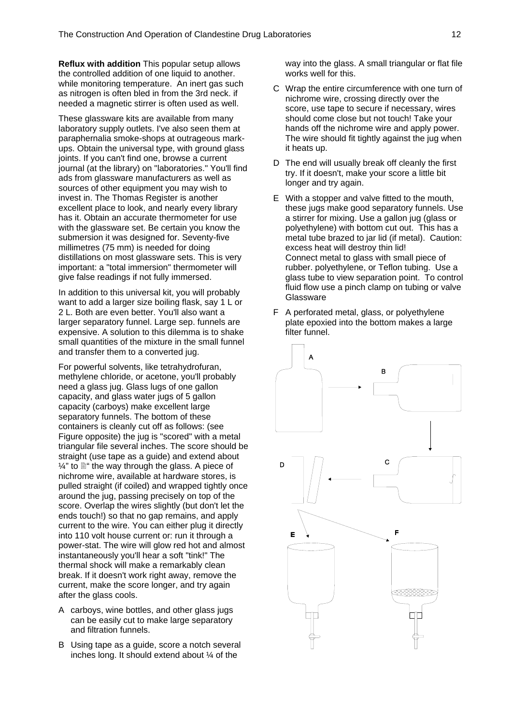**Reflux with addition** This popular setup allows the controlled addition of one liquid to another. while monitoring temperature. An inert gas such as nitrogen is often bled in from the 3rd neck. if needed a magnetic stirrer is often used as well.

These glassware kits are available from many laboratory supply outlets. I've also seen them at paraphernalia smoke-shops at outrageous markups. Obtain the universal type, with ground glass joints. If you can't find one, browse a current journal (at the library) on "laboratories." You'll find ads from glassware manufacturers as well as sources of other equipment you may wish to invest in. The Thomas Register is another excellent place to look, and nearly every library has it. Obtain an accurate thermometer for use with the glassware set. Be certain you know the submersion it was designed for. Seventy-five millimetres (75 mm) is needed for doing distillations on most glassware sets. This is very important: a "total immersion" thermometer will give false readings if not fully immersed.

In addition to this universal kit, you will probably want to add a larger size boiling flask, say 1 L or 2 L. Both are even better. You'll also want a larger separatory funnel. Large sep. funnels are expensive. A solution to this dilemma is to shake small quantities of the mixture in the small funnel and transfer them to a converted jug.

For powerful solvents, like tetrahydrofuran, methylene chloride, or acetone, you'll probably need a glass jug. Glass lugs of one gallon capacity, and glass water jugs of 5 gallon capacity (carboys) make excellent large separatory funnels. The bottom of these containers is cleanly cut off as follows: (see Figure opposite) the jug is "scored" with a metal triangular file several inches. The score should be straight (use tape as a guide) and extend about  $\frac{1}{4}$ " to  $\mathbb{B}$ " the way through the glass. A piece of nichrome wire, available at hardware stores, is pulled straight (if coiled) and wrapped tightly once around the jug, passing precisely on top of the score. Overlap the wires slightly (but don't let the ends touch!) so that no gap remains, and apply current to the wire. You can either plug it directly into 110 volt house current or: run it through a power-stat. The wire will glow red hot and almost instantaneously you'll hear a soft "tink!" The thermal shock will make a remarkably clean break. If it doesn't work right away, remove the current, make the score longer, and try again after the glass cools.

- A carboys, wine bottles, and other glass jugs can be easily cut to make large separatory and filtration funnels.
- B Using tape as a guide, score a notch several inches long. It should extend about ¼ of the

way into the glass. A small triangular or flat file works well for this.

- C Wrap the entire circumference with one turn of nichrome wire, crossing directly over the score, use tape to secure if necessary, wires should come close but not touch! Take your hands off the nichrome wire and apply power. The wire should fit tightly against the jug when it heats up.
- D The end will usually break off cleanly the first try. If it doesn't, make your score a little bit longer and try again.
- E With a stopper and valve fitted to the mouth, these jugs make good separatory funnels. Use a stirrer for mixing. Use a gallon jug (glass or polyethylene) with bottom cut out. This has a metal tube brazed to jar lid (if metal). Caution: excess heat will destroy thin lid! Connect metal to glass with small piece of rubber. polyethylene, or Teflon tubing. Use a glass tube to view separation point. To control fluid flow use a pinch clamp on tubing or valve **Glassware**
- F A perforated metal, glass, or polyethylene plate epoxied into the bottom makes a large filter funnel.

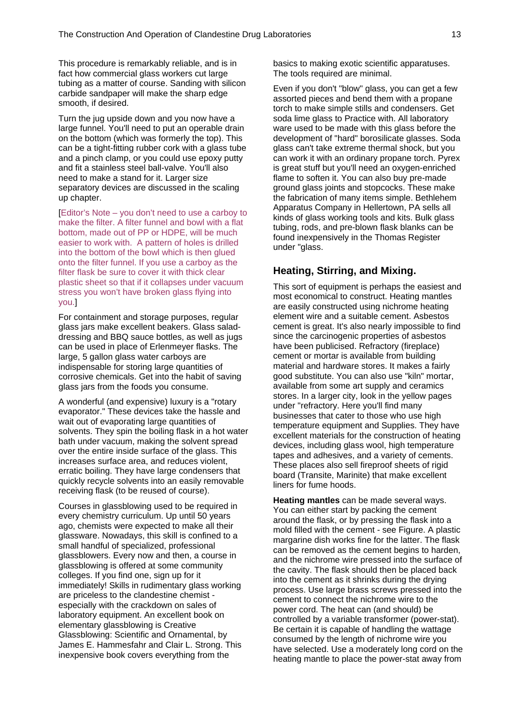This procedure is remarkably reliable, and is in fact how commercial glass workers cut large tubing as a matter of course. Sanding with silicon carbide sandpaper will make the sharp edge smooth, if desired.

Turn the jug upside down and you now have a large funnel. You'll need to put an operable drain on the bottom (which was formerly the top). This can be a tight-fitting rubber cork with a glass tube and a pinch clamp, or you could use epoxy putty and fit a stainless steel ball-valve. You'll also need to make a stand for it. Larger size separatory devices are discussed in the scaling up chapter.

[Editor's Note – you don't need to use a carboy to make the filter. A filter funnel and bowl with a flat bottom, made out of PP or HDPE, will be much easier to work with. A pattern of holes is drilled into the bottom of the bowl which is then glued onto the filter funnel. If you use a carboy as the filter flask be sure to cover it with thick clear plastic sheet so that if it collapses under vacuum stress you won't have broken glass flying into you.]

For containment and storage purposes, regular glass jars make excellent beakers. Glass saladdressing and BBQ sauce bottles, as well as jugs can be used in place of Erlenmeyer flasks. The large, 5 gallon glass water carboys are indispensable for storing large quantities of corrosive chemicals. Get into the habit of saving glass jars from the foods you consume.

A wonderful (and expensive) luxury is a "rotary evaporator." These devices take the hassle and wait out of evaporating large quantities of solvents. They spin the boiling flask in a hot water bath under vacuum, making the solvent spread over the entire inside surface of the glass. This increases surface area, and reduces violent, erratic boiling. They have large condensers that quickly recycle solvents into an easily removable receiving flask (to be reused of course).

Courses in glassblowing used to be required in every chemistry curriculum. Up until 50 years ago, chemists were expected to make all their glassware. Nowadays, this skill is confined to a small handful of specialized, professional glassblowers. Every now and then, a course in glassblowing is offered at some community colleges. If you find one, sign up for it immediately! Skills in rudimentary glass working are priceless to the clandestine chemist especially with the crackdown on sales of laboratory equipment. An excellent book on elementary glassblowing is Creative Glassblowing: Scientific and Ornamental, by James E. Hammesfahr and Clair L. Strong. This inexpensive book covers everything from the

basics to making exotic scientific apparatuses. The tools required are minimal.

Even if you don't "blow" glass, you can get a few assorted pieces and bend them with a propane torch to make simple stills and condensers. Get soda lime glass to Practice with. All laboratory ware used to be made with this glass before the development of "hard" borosilicate glasses. Soda glass can't take extreme thermal shock, but you can work it with an ordinary propane torch. Pyrex is great stuff but you'll need an oxygen-enriched flame to soften it. You can also buy pre-made ground glass joints and stopcocks. These make the fabrication of many items simple. Bethlehem Apparatus Company in Hellertown, PA sells all kinds of glass working tools and kits. Bulk glass tubing, rods, and pre-blown flask blanks can be found inexpensively in the Thomas Register under "glass.

# **Heating, Stirring, and Mixing.**

This sort of equipment is perhaps the easiest and most economical to construct. Heating mantles are easily constructed using nichrome heating element wire and a suitable cement. Asbestos cement is great. It's also nearly impossible to find since the carcinogenic properties of asbestos have been publicised. Refractory (fireplace) cement or mortar is available from building material and hardware stores. It makes a fairly good substitute. You can also use "kiln" mortar, available from some art supply and ceramics stores. In a larger city, look in the yellow pages under "refractory. Here you'll find many businesses that cater to those who use high temperature equipment and Supplies. They have excellent materials for the construction of heating devices, including glass wool, high temperature tapes and adhesives, and a variety of cements. These places also sell fireproof sheets of rigid board (Transite, Marinite) that make excellent liners for fume hoods.

**Heating mantles** can be made several ways. You can either start by packing the cement around the flask, or by pressing the flask into a mold filled with the cement - see Figure. A plastic margarine dish works fine for the latter. The flask can be removed as the cement begins to harden, and the nichrome wire pressed into the surface of the cavity. The flask should then be placed back into the cement as it shrinks during the drying process. Use large brass screws pressed into the cement to connect the nichrome wire to the power cord. The heat can (and should) be controlled by a variable transformer (power-stat). Be certain it is capable of handling the wattage consumed by the length of nichrome wire you have selected. Use a moderately long cord on the heating mantle to place the power-stat away from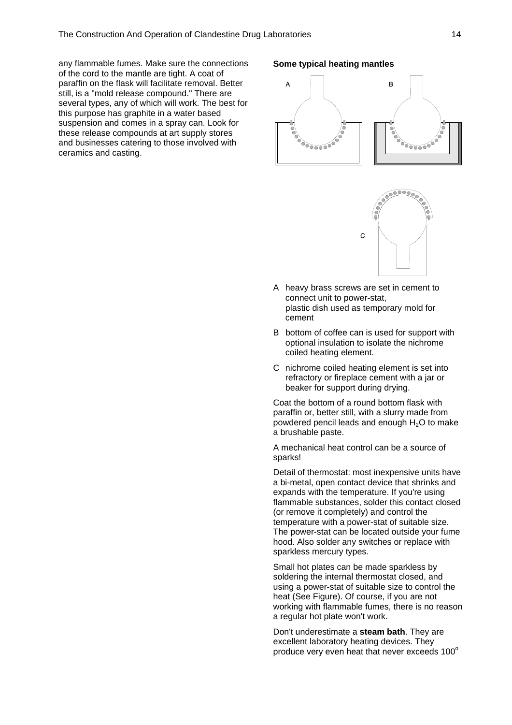any flammable fumes. Make sure the connections of the cord to the mantle are tight. A coat of paraffin on the flask will facilitate removal. Better still, is a "mold release compound." There are several types, any of which will work. The best for this purpose has graphite in a water based suspension and comes in a spray can. Look for these release compounds at art supply stores and businesses catering to those involved with ceramics and casting.

### **Some typical heating mantles**





- A heavy brass screws are set in cement to connect unit to power-stat, plastic dish used as temporary mold for cement
- B bottom of coffee can is used for support with optional insulation to isolate the nichrome coiled heating element.
- C nichrome coiled heating element is set into refractory or fireplace cement with a jar or beaker for support during drying.

Coat the bottom of a round bottom flask with paraffin or, better still, with a slurry made from powdered pencil leads and enough  $H_2O$  to make a brushable paste.

A mechanical heat control can be a source of sparks!

Detail of thermostat: most inexpensive units have a bi-metal, open contact device that shrinks and expands with the temperature. If you're using flammable substances, solder this contact closed (or remove it completely) and control the temperature with a power-stat of suitable size. The power-stat can be located outside your fume hood. Also solder any switches or replace with sparkless mercury types.

Small hot plates can be made sparkless by soldering the internal thermostat closed, and using a power-stat of suitable size to control the heat (See Figure). Of course, if you are not working with flammable fumes, there is no reason a regular hot plate won't work.

Don't underestimate a **steam bath**. They are excellent laboratory heating devices. They produce very even heat that never exceeds  $100^{\circ}$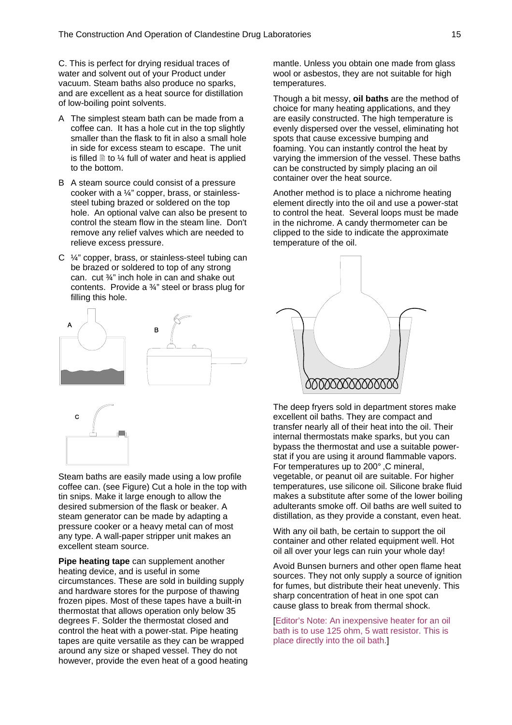C. This is perfect for drying residual traces of water and solvent out of your Product under vacuum. Steam baths also produce no sparks, and are excellent as a heat source for distillation of low-boiling point solvents.

- A The simplest steam bath can be made from a coffee can. It has a hole cut in the top slightly smaller than the flask to fit in also a small hole in side for excess steam to escape. The unit is filled  $\mathbb B$  to  $\mathcal V_4$  full of water and heat is applied to the bottom.
- B A steam source could consist of a pressure cooker with a ¼" copper, brass, or stainlesssteel tubing brazed or soldered on the top hole. An optional valve can also be present to control the steam flow in the steam line. Don't remove any relief valves which are needed to relieve excess pressure.
- C ¼" copper, brass, or stainless-steel tubing can be brazed or soldered to top of any strong can. cut ¾" inch hole in can and shake out contents. Provide a ¾" steel or brass plug for filling this hole.





Steam baths are easily made using a low profile coffee can. (see Figure) Cut a hole in the top with tin snips. Make it large enough to allow the desired submersion of the flask or beaker. A steam generator can be made by adapting a pressure cooker or a heavy metal can of most any type. A wall-paper stripper unit makes an excellent steam source.

**Pipe heating tape** can supplement another heating device, and is useful in some circumstances. These are sold in building supply and hardware stores for the purpose of thawing frozen pipes. Most of these tapes have a built-in thermostat that allows operation only below 35 degrees F. Solder the thermostat closed and control the heat with a power-stat. Pipe heating tapes are quite versatile as they can be wrapped around any size or shaped vessel. They do not however, provide the even heat of a good heating mantle. Unless you obtain one made from glass wool or asbestos, they are not suitable for high temperatures.

Though a bit messy, **oil baths** are the method of choice for many heating applications, and they are easily constructed. The high temperature is evenly dispersed over the vessel, eliminating hot spots that cause excessive bumping and foaming. You can instantly control the heat by varying the immersion of the vessel. These baths can be constructed by simply placing an oil container over the heat source.

Another method is to place a nichrome heating element directly into the oil and use a power-stat to control the heat. Several loops must be made in the nichrome. A candy thermometer can be clipped to the side to indicate the approximate temperature of the oil.



The deep fryers sold in department stores make excellent oil baths. They are compact and transfer nearly all of their heat into the oil. Their internal thermostats make sparks, but you can bypass the thermostat and use a suitable powerstat if you are using it around flammable vapors. For temperatures up to 200° ,C mineral, vegetable, or peanut oil are suitable. For higher temperatures, use silicone oil. Silicone brake fluid makes a substitute after some of the lower boiling adulterants smoke off. Oil baths are well suited to distillation, as they provide a constant, even heat.

With any oil bath, be certain to support the oil container and other related equipment well. Hot oil all over your legs can ruin your whole day!

Avoid Bunsen burners and other open flame heat sources. They not only supply a source of ignition for fumes, but distribute their heat unevenly. This sharp concentration of heat in one spot can cause glass to break from thermal shock.

[Editor's Note: An inexpensive heater for an oil bath is to use 125 ohm, 5 watt resistor. This is place directly into the oil bath.]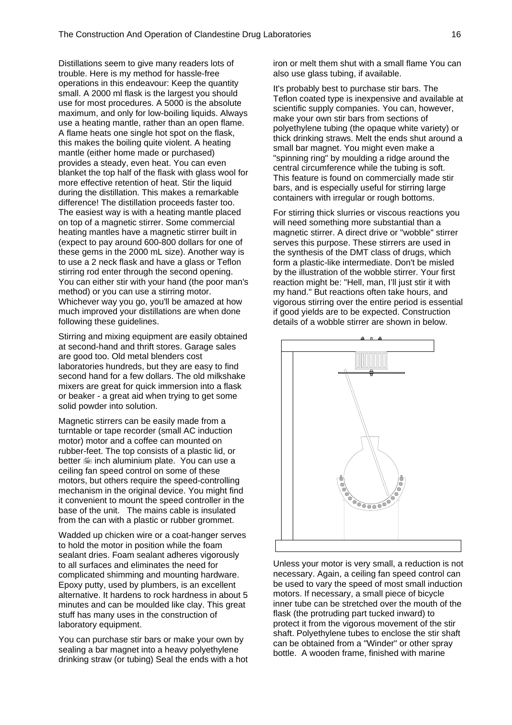Distillations seem to give many readers lots of trouble. Here is my method for hassle-free operations in this endeavour: Keep the quantity small. A 2000 ml flask is the largest you should use for most procedures. A 5000 is the absolute maximum, and only for low-boiling liquids. Always use a heating mantle, rather than an open flame. A flame heats one single hot spot on the flask, this makes the boiling quite violent. A heating mantle (either home made or purchased) provides a steady, even heat. You can even blanket the top half of the flask with glass wool for more effective retention of heat. Stir the liquid during the distillation. This makes a remarkable difference! The distillation proceeds faster too. The easiest way is with a heating mantle placed on top of a magnetic stirrer. Some commercial heating mantles have a magnetic stirrer built in (expect to pay around 600-800 dollars for one of these gems in the 2000 mL size). Another way is to use a 2 neck flask and have a glass or Teflon stirring rod enter through the second opening. You can either stir with your hand (the poor man's method) or you can use a stirring motor. Whichever way you go, you'll be amazed at how much improved your distillations are when done following these guidelines.

Stirring and mixing equipment are easily obtained at second-hand and thrift stores. Garage sales are good too. Old metal blenders cost laboratories hundreds, but they are easy to find second hand for a few dollars. The old milkshake mixers are great for quick immersion into a flask or beaker - a great aid when trying to get some solid powder into solution.

Magnetic stirrers can be easily made from a turntable or tape recorder (small AC induction motor) motor and a coffee can mounted on rubber-feet. The top consists of a plastic lid, or better  $\equiv$  inch aluminium plate. You can use a ceiling fan speed control on some of these motors, but others require the speed-controlling mechanism in the original device. You might find it convenient to mount the speed controller in the base of the unit. The mains cable is insulated from the can with a plastic or rubber grommet.

Wadded up chicken wire or a coat-hanger serves to hold the motor in position while the foam sealant dries. Foam sealant adheres vigorously to all surfaces and eliminates the need for complicated shimming and mounting hardware. Epoxy putty, used by plumbers, is an excellent alternative. It hardens to rock hardness in about 5 minutes and can be moulded like clay. This great stuff has many uses in the construction of laboratory equipment.

You can purchase stir bars or make your own by sealing a bar magnet into a heavy polyethylene drinking straw (or tubing) Seal the ends with a hot iron or melt them shut with a small flame You can also use glass tubing, if available.

It's probably best to purchase stir bars. The Teflon coated type is inexpensive and available at scientific supply companies. You can, however, make your own stir bars from sections of polyethylene tubing (the opaque white variety) or thick drinking straws. Melt the ends shut around a small bar magnet. You might even make a "spinning ring" by moulding a ridge around the central circumference while the tubing is soft. This feature is found on commercially made stir bars, and is especially useful for stirring large containers with irregular or rough bottoms.

For stirring thick slurries or viscous reactions you will need something more substantial than a magnetic stirrer. A direct drive or "wobble" stirrer serves this purpose. These stirrers are used in the synthesis of the DMT class of drugs, which form a plastic-like intermediate. Don't be misled by the illustration of the wobble stirrer. Your first reaction might be: "Hell, man, I'll just stir it with my hand." But reactions often take hours, and vigorous stirring over the entire period is essential if good yields are to be expected. Construction details of a wobble stirrer are shown in below.



Unless your motor is very small, a reduction is not necessary. Again, a ceiling fan speed control can be used to vary the speed of most small induction motors. If necessary, a small piece of bicycle inner tube can be stretched over the mouth of the flask (the protruding part tucked inward) to protect it from the vigorous movement of the stir shaft. Polyethylene tubes to enclose the stir shaft can be obtained from a "Winder" or other spray bottle. A wooden frame, finished with marine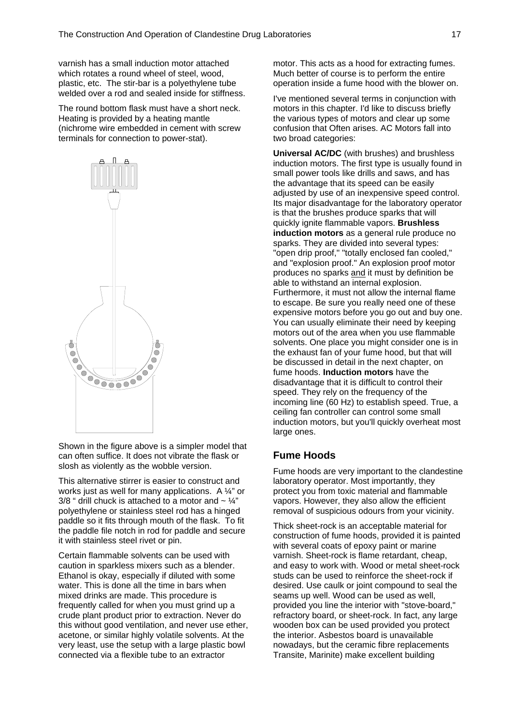varnish has a small induction motor attached which rotates a round wheel of steel, wood, plastic, etc. The stir-bar is a polyethylene tube welded over a rod and sealed inside for stiffness.

The round bottom flask must have a short neck. Heating is provided by a heating mantle (nichrome wire embedded in cement with screw terminals for connection to power-stat).



Shown in the figure above is a simpler model that can often suffice. It does not vibrate the flask or slosh as violently as the wobble version.

This alternative stirrer is easier to construct and works just as well for many applications. A 1/4" or 3/8 " drill chuck is attached to a motor and  $\sim$  1/4" polyethylene or stainless steel rod has a hinged paddle so it fits through mouth of the flask. To fit the paddle file notch in rod for paddle and secure it with stainless steel rivet or pin.

Certain flammable solvents can be used with caution in sparkless mixers such as a blender. Ethanol is okay, especially if diluted with some water. This is done all the time in bars when mixed drinks are made. This procedure is frequently called for when you must grind up a crude plant product prior to extraction. Never do this without good ventilation, and never use ether, acetone, or similar highly volatile solvents. At the very least, use the setup with a large plastic bowl connected via a flexible tube to an extractor

motor. This acts as a hood for extracting fumes. Much better of course is to perform the entire operation inside a fume hood with the blower on.

I've mentioned several terms in conjunction with motors in this chapter. I'd like to discuss briefly the various types of motors and clear up some confusion that Often arises. AC Motors fall into two broad categories:

**Universal AC/DC** (with brushes) and brushless induction motors. The first type is usually found in small power tools like drills and saws, and has the advantage that its speed can be easily adjusted by use of an inexpensive speed control. Its major disadvantage for the laboratory operator is that the brushes produce sparks that will quickly ignite flammable vapors. **Brushless induction motors** as a general rule produce no sparks. They are divided into several types: "open drip proof," "totally enclosed fan cooled," and "explosion proof." An explosion proof motor produces no sparks and it must by definition be able to withstand an internal explosion. Furthermore, it must not allow the internal flame to escape. Be sure you really need one of these expensive motors before you go out and buy one. You can usually eliminate their need by keeping motors out of the area when you use flammable solvents. One place you might consider one is in the exhaust fan of your fume hood, but that will be discussed in detail in the next chapter, on fume hoods. **Induction motors** have the disadvantage that it is difficult to control their speed. They rely on the frequency of the incoming line (60 Hz) to establish speed. True, a ceiling fan controller can control some small induction motors, but you'll quickly overheat most large ones.

# **Fume Hoods**

Fume hoods are very important to the clandestine laboratory operator. Most importantly, they protect you from toxic material and flammable vapors. However, they also allow the efficient removal of suspicious odours from your vicinity.

Thick sheet-rock is an acceptable material for construction of fume hoods, provided it is painted with several coats of epoxy paint or marine varnish. Sheet-rock is flame retardant, cheap, and easy to work with. Wood or metal sheet-rock studs can be used to reinforce the sheet-rock if desired. Use caulk or joint compound to seal the seams up well. Wood can be used as well, provided you line the interior with "stove-board," refractory board, or sheet-rock. In fact, any large wooden box can be used provided you protect the interior. Asbestos board is unavailable nowadays, but the ceramic fibre replacements Transite, Marinite) make excellent building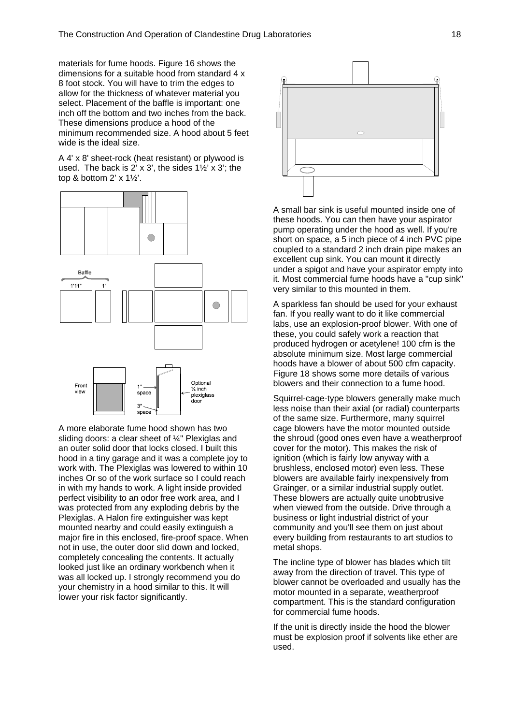materials for fume hoods. Figure 16 shows the dimensions for a suitable hood from standard 4 x 8 foot stock. You will have to trim the edges to allow for the thickness of whatever material you select. Placement of the baffle is important: one inch off the bottom and two inches from the back. These dimensions produce a hood of the minimum recommended size. A hood about 5 feet wide is the ideal size.

A 4' x 8' sheet-rock (heat resistant) or plywood is used. The back is  $2' \times 3'$ , the sides  $1\frac{1}{2} \times 3'$ ; the top & bottom  $2' \times 1\frac{1}{2}$ .



A more elaborate fume hood shown has two sliding doors: a clear sheet of ¼" Plexiglas and an outer solid door that locks closed. I built this hood in a tiny garage and it was a complete joy to work with. The Plexiglas was lowered to within 10 inches Or so of the work surface so I could reach in with my hands to work. A light inside provided perfect visibility to an odor free work area, and I was protected from any exploding debris by the Plexiglas. A Halon fire extinguisher was kept mounted nearby and could easily extinguish a major fire in this enclosed, fire-proof space. When not in use, the outer door slid down and locked, completely concealing the contents. It actually looked just like an ordinary workbench when it was all locked up. I strongly recommend you do your chemistry in a hood similar to this. It will lower your risk factor significantly.



A small bar sink is useful mounted inside one of these hoods. You can then have your aspirator pump operating under the hood as well. If you're short on space, a 5 inch piece of 4 inch PVC pipe coupled to a standard 2 inch drain pipe makes an excellent cup sink. You can mount it directly under a spigot and have your aspirator empty into it. Most commercial fume hoods have a "cup sink" very similar to this mounted in them.

A sparkless fan should be used for your exhaust fan. If you really want to do it like commercial labs, use an explosion-proof blower. With one of these, you could safely work a reaction that produced hydrogen or acetylene! 100 cfm is the absolute minimum size. Most large commercial hoods have a blower of about 500 cfm capacity. Figure 18 shows some more details of various blowers and their connection to a fume hood.

Squirrel-cage-type blowers generally make much less noise than their axial (or radial) counterparts of the same size. Furthermore, many squirrel cage blowers have the motor mounted outside the shroud (good ones even have a weatherproof cover for the motor). This makes the risk of ignition (which is fairly low anyway with a brushless, enclosed motor) even less. These blowers are available fairly inexpensively from Grainger, or a similar industrial supply outlet. These blowers are actually quite unobtrusive when viewed from the outside. Drive through a business or light industrial district of your community and you'll see them on just about every building from restaurants to art studios to metal shops.

The incline type of blower has blades which tilt away from the direction of travel. This type of blower cannot be overloaded and usually has the motor mounted in a separate, weatherproof compartment. This is the standard configuration for commercial fume hoods.

If the unit is directly inside the hood the blower must be explosion proof if solvents like ether are used.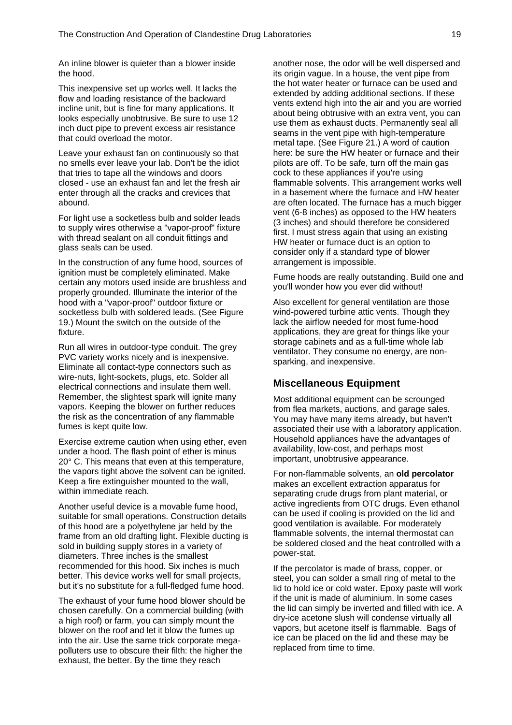An inline blower is quieter than a blower inside the hood.

This inexpensive set up works well. It lacks the flow and loading resistance of the backward incline unit, but is fine for many applications. It looks especially unobtrusive. Be sure to use 12 inch duct pipe to prevent excess air resistance that could overload the motor.

Leave your exhaust fan on continuously so that no smells ever leave your lab. Don't be the idiot that tries to tape all the windows and doors closed - use an exhaust fan and let the fresh air enter through all the cracks and crevices that abound.

For light use a socketless bulb and solder leads to supply wires otherwise a "vapor-proof" fixture with thread sealant on all conduit fittings and glass seals can be used.

In the construction of any fume hood, sources of ignition must be completely eliminated. Make certain any motors used inside are brushless and properly grounded. Illuminate the interior of the hood with a "vapor-proof" outdoor fixture or socketless bulb with soldered leads. (See Figure 19.) Mount the switch on the outside of the fixture.

Run all wires in outdoor-type conduit. The grey PVC variety works nicely and is inexpensive. Eliminate all contact-type connectors such as wire-nuts, light-sockets, plugs, etc. Solder all electrical connections and insulate them well. Remember, the slightest spark will ignite many vapors. Keeping the blower on further reduces the risk as the concentration of any flammable fumes is kept quite low.

Exercise extreme caution when using ether, even under a hood. The flash point of ether is minus 20° C. This means that even at this temperature, the vapors tight above the solvent can be ignited. Keep a fire extinguisher mounted to the wall, within immediate reach.

Another useful device is a movable fume hood, suitable for small operations. Construction details of this hood are a polyethylene jar held by the frame from an old drafting light. Flexible ducting is sold in building supply stores in a variety of diameters. Three inches is the smallest recommended for this hood. Six inches is much better. This device works well for small projects, but it's no substitute for a full-fledged fume hood.

The exhaust of your fume hood blower should be chosen carefully. On a commercial building (with a high roof) or farm, you can simply mount the blower on the roof and let it blow the fumes up into the air. Use the same trick corporate megapolluters use to obscure their filth: the higher the exhaust, the better. By the time they reach

another nose, the odor will be well dispersed and its origin vague. In a house, the vent pipe from the hot water heater or furnace can be used and extended by adding additional sections. If these vents extend high into the air and you are worried about being obtrusive with an extra vent, you can use them as exhaust ducts. Permanently seal all seams in the vent pipe with high-temperature metal tape. (See Figure 21.) A word of caution here: be sure the HW heater or furnace and their pilots are off. To be safe, turn off the main gas cock to these appliances if you're using flammable solvents. This arrangement works well in a basement where the furnace and HW heater are often located. The furnace has a much bigger vent (6-8 inches) as opposed to the HW heaters (3 inches) and should therefore be considered first. I must stress again that using an existing HW heater or furnace duct is an option to consider only if a standard type of blower arrangement is impossible.

Fume hoods are really outstanding. Build one and you'll wonder how you ever did without!

Also excellent for general ventilation are those wind-powered turbine attic vents. Though they lack the airflow needed for most fume-hood applications, they are great for things like your storage cabinets and as a full-time whole lab ventilator. They consume no energy, are nonsparking, and inexpensive.

## **Miscellaneous Equipment**

Most additional equipment can be scrounged from flea markets, auctions, and garage sales. You may have many items already, but haven't associated their use with a laboratory application. Household appliances have the advantages of availability, low-cost, and perhaps most important, unobtrusive appearance.

For non-flammable solvents, an **old percolator** makes an excellent extraction apparatus for separating crude drugs from plant material, or active ingredients from OTC drugs. Even ethanol can be used if cooling is provided on the lid and good ventilation is available. For moderately flammable solvents, the internal thermostat can be soldered closed and the heat controlled with a power-stat.

If the percolator is made of brass, copper, or steel, you can solder a small ring of metal to the lid to hold ice or cold water. Epoxy paste will work if the unit is made of aluminium. In some cases the lid can simply be inverted and filled with ice. A dry-ice acetone slush will condense virtually all vapors, but acetone itself is flammable. Bags of ice can be placed on the lid and these may be replaced from time to time.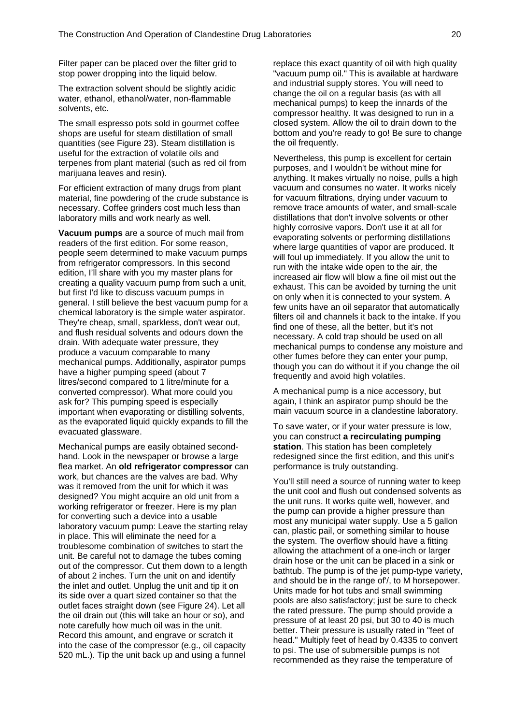Filter paper can be placed over the filter grid to stop power dropping into the liquid below.

The extraction solvent should be slightly acidic water, ethanol, ethanol/water, non-flammable solvents, etc.

The small espresso pots sold in gourmet coffee shops are useful for steam distillation of small quantities (see Figure 23). Steam distillation is useful for the extraction of volatile oils and terpenes from plant material (such as red oil from marijuana leaves and resin).

For efficient extraction of many drugs from plant material, fine powdering of the crude substance is necessary. Coffee grinders cost much less than laboratory mills and work nearly as well.

**Vacuum pumps** are a source of much mail from readers of the first edition. For some reason, people seem determined to make vacuum pumps from refrigerator compressors. In this second edition, I'll share with you my master plans for creating a quality vacuum pump from such a unit, but first I'd like to discuss vacuum pumps in general. I still believe the best vacuum pump for a chemical laboratory is the simple water aspirator. They're cheap, small, sparkless, don't wear out, and flush residual solvents and odours down the drain. With adequate water pressure, they produce a vacuum comparable to many mechanical pumps. Additionally, aspirator pumps have a higher pumping speed (about 7 litres/second compared to 1 litre/minute for a converted compressor). What more could you ask for? This pumping speed is especially important when evaporating or distilling solvents, as the evaporated liquid quickly expands to fill the evacuated glassware.

Mechanical pumps are easily obtained secondhand. Look in the newspaper or browse a large flea market. An **old refrigerator compressor** can work, but chances are the valves are bad. Why was it removed from the unit for which it was designed? You might acquire an old unit from a working refrigerator or freezer. Here is my plan for converting such a device into a usable laboratory vacuum pump: Leave the starting relay in place. This will eliminate the need for a troublesome combination of switches to start the unit. Be careful not to damage the tubes coming out of the compressor. Cut them down to a length of about 2 inches. Turn the unit on and identify the inlet and outlet. Unplug the unit and tip it on its side over a quart sized container so that the outlet faces straight down (see Figure 24). Let all the oil drain out (this will take an hour or so), and note carefully how much oil was in the unit. Record this amount, and engrave or scratch it into the case of the compressor (e.g., oil capacity 520 mL.). Tip the unit back up and using a funnel

replace this exact quantity of oil with high quality "vacuum pump oil." This is available at hardware and industrial supply stores. You will need to change the oil on a regular basis (as with all mechanical pumps) to keep the innards of the compressor healthy. It was designed to run in a closed system. Allow the oil to drain down to the bottom and you're ready to go! Be sure to change the oil frequently.

Nevertheless, this pump is excellent for certain purposes, and I wouldn't be without mine for anything. It makes virtually no noise, pulls a high vacuum and consumes no water. It works nicely for vacuum filtrations, drying under vacuum to remove trace amounts of water, and small-scale distillations that don't involve solvents or other highly corrosive vapors. Don't use it at all for evaporating solvents or performing distillations where large quantities of vapor are produced. It will foul up immediately. If you allow the unit to run with the intake wide open to the air, the increased air flow will blow a fine oil mist out the exhaust. This can be avoided by turning the unit on only when it is connected to your system. A few units have an oil separator that automatically filters oil and channels it back to the intake. If you find one of these, all the better, but it's not necessary. A cold trap should be used on all mechanical pumps to condense any moisture and other fumes before they can enter your pump, though you can do without it if you change the oil frequently and avoid high volatiles.

A mechanical pump is a nice accessory, but again, I think an aspirator pump should be the main vacuum source in a clandestine laboratory.

To save water, or if your water pressure is low, you can construct **a recirculating pumping station**. This station has been completely redesigned since the first edition, and this unit's performance is truly outstanding.

You'll still need a source of running water to keep the unit cool and flush out condensed solvents as the unit runs. It works quite well, however, and the pump can provide a higher pressure than most any municipal water supply. Use a 5 gallon can, plastic pail, or something similar to house the system. The overflow should have a fitting allowing the attachment of a one-inch or larger drain hose or the unit can be placed in a sink or bathtub. The pump is of the jet pump-type variety, and should be in the range of'/, to M horsepower. Units made for hot tubs and small swimming pools are also satisfactory; just be sure to check the rated pressure. The pump should provide a pressure of at least 20 psi, but 30 to 40 is much better. Their pressure is usually rated in "feet of head." Multiply feet of head by 0.4335 to convert to psi. The use of submersible pumps is not recommended as they raise the temperature of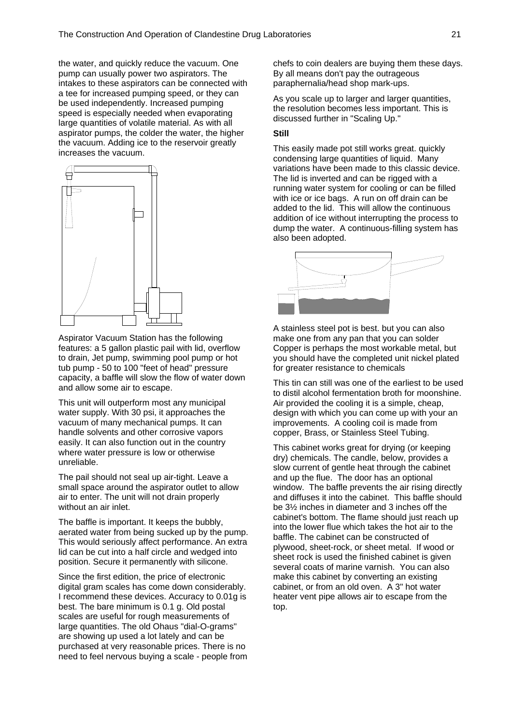the water, and quickly reduce the vacuum. One pump can usually power two aspirators. The intakes to these aspirators can be connected with a tee for increased pumping speed, or they can be used independently. Increased pumping speed is especially needed when evaporating large quantities of volatile material. As with all aspirator pumps, the colder the water, the higher the vacuum. Adding ice to the reservoir greatly increases the vacuum.



Aspirator Vacuum Station has the following features: a 5 gallon plastic pail with lid, overflow to drain, Jet pump, swimming pool pump or hot tub pump - 50 to 100 "feet of head" pressure capacity, a baffle will slow the flow of water down and allow some air to escape.

This unit will outperform most any municipal water supply. With 30 psi, it approaches the vacuum of many mechanical pumps. It can handle solvents and other corrosive vapors easily. It can also function out in the country where water pressure is low or otherwise unreliable.

The pail should not seal up air-tight. Leave a small space around the aspirator outlet to allow air to enter. The unit will not drain properly without an air inlet.

The baffle is important. It keeps the bubbly, aerated water from being sucked up by the pump. This would seriously affect performance. An extra lid can be cut into a half circle and wedged into position. Secure it permanently with silicone.

Since the first edition, the price of electronic digital gram scales has come down considerably. I recommend these devices. Accuracy to 0.01g is best. The bare minimum is 0.1 g. Old postal scales are useful for rough measurements of large quantities. The old Ohaus "dial-O-grams" are showing up used a lot lately and can be purchased at very reasonable prices. There is no need to feel nervous buying a scale - people from chefs to coin dealers are buying them these days. By all means don't pay the outrageous paraphernalia/head shop mark-ups.

As you scale up to larger and larger quantities, the resolution becomes less important. This is discussed further in "Scaling Up."

## **Still**

This easily made pot still works great. quickly condensing large quantities of liquid. Many variations have been made to this classic device. The lid is inverted and can be rigged with a running water system for cooling or can be filled with ice or ice bags. A run on off drain can be added to the lid. This will allow the continuous addition of ice without interrupting the process to dump the water. A continuous-filling system has also been adopted.



A stainless steel pot is best. but you can also make one from any pan that you can solder Copper is perhaps the most workable metal, but you should have the completed unit nickel plated for greater resistance to chemicals

This tin can still was one of the earliest to be used to distil alcohol fermentation broth for moonshine. Air provided the cooling it is a simple, cheap, design with which you can come up with your an improvements. A cooling coil is made from copper, Brass, or Stainless Steel Tubing.

This cabinet works great for drying (or keeping dry) chemicals. The candle, below, provides a slow current of gentle heat through the cabinet and up the flue. The door has an optional window. The baffle prevents the air rising directly and diffuses it into the cabinet. This baffle should be 3½ inches in diameter and 3 inches off the cabinet's bottom. The flame should just reach up into the lower flue which takes the hot air to the baffle. The cabinet can be constructed of plywood, sheet-rock, or sheet metal. If wood or sheet rock is used the finished cabinet is given several coats of marine varnish. You can also make this cabinet by converting an existing cabinet, or from an old oven. A 3" hot water heater vent pipe allows air to escape from the top.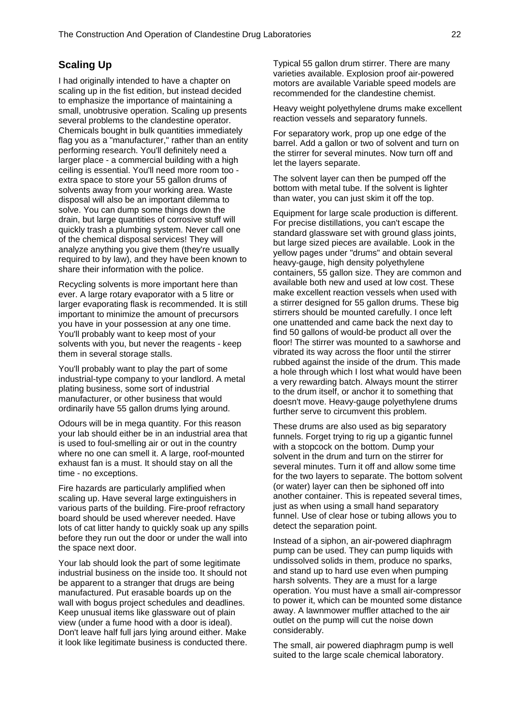# **Scaling Up**

I had originally intended to have a chapter on scaling up in the fist edition, but instead decided to emphasize the importance of maintaining a small, unobtrusive operation. Scaling up presents several problems to the clandestine operator. Chemicals bought in bulk quantities immediately flag you as a "manufacturer," rather than an entity performing research. You'll definitely need a larger place - a commercial building with a high ceiling is essential. You'll need more room too extra space to store your 55 gallon drums of solvents away from your working area. Waste disposal will also be an important dilemma to solve. You can dump some things down the drain, but large quantities of corrosive stuff will quickly trash a plumbing system. Never call one of the chemical disposal services! They will analyze anything you give them (they're usually required to by law), and they have been known to share their information with the police.

Recycling solvents is more important here than ever. A large rotary evaporator with a 5 litre or larger evaporating flask is recommended. It is still important to minimize the amount of precursors you have in your possession at any one time. You'll probably want to keep most of your solvents with you, but never the reagents - keep them in several storage stalls.

You'll probably want to play the part of some industrial-type company to your landlord. A metal plating business, some sort of industrial manufacturer, or other business that would ordinarily have 55 gallon drums lying around.

Odours will be in mega quantity. For this reason your lab should either be in an industrial area that is used to foul-smelling air or out in the country where no one can smell it. A large, roof-mounted exhaust fan is a must. It should stay on all the time - no exceptions.

Fire hazards are particularly amplified when scaling up. Have several large extinguishers in various parts of the building. Fire-proof refractory board should be used wherever needed. Have lots of cat litter handy to quickly soak up any spills before they run out the door or under the wall into the space next door.

Your lab should look the part of some legitimate industrial business on the inside too. It should not be apparent to a stranger that drugs are being manufactured. Put erasable boards up on the wall with bogus project schedules and deadlines. Keep unusual items like glassware out of plain view (under a fume hood with a door is ideal). Don't leave half full jars lying around either. Make it look like legitimate business is conducted there.

Typical 55 gallon drum stirrer. There are many varieties available. Explosion proof air-powered motors are available Variable speed models are recommended for the clandestine chemist.

Heavy weight polyethylene drums make excellent reaction vessels and separatory funnels.

For separatory work, prop up one edge of the barrel. Add a gallon or two of solvent and turn on the stirrer for several minutes. Now turn off and let the layers separate.

The solvent layer can then be pumped off the bottom with metal tube. If the solvent is lighter than water, you can just skim it off the top.

Equipment for large scale production is different. For precise distillations, you can't escape the standard glassware set with ground glass joints, but large sized pieces are available. Look in the yellow pages under "drums" and obtain several heavy-gauge, high density polyethylene containers, 55 gallon size. They are common and available both new and used at low cost. These make excellent reaction vessels when used with a stirrer designed for 55 gallon drums. These big stirrers should be mounted carefully. I once left one unattended and came back the next day to find 50 gallons of would-be product all over the floor! The stirrer was mounted to a sawhorse and vibrated its way across the floor until the stirrer rubbed against the inside of the drum. This made a hole through which I lost what would have been a very rewarding batch. Always mount the stirrer to the drum itself, or anchor it to something that doesn't move. Heavy-gauge polyethylene drums further serve to circumvent this problem.

These drums are also used as big separatory funnels. Forget trying to rig up a gigantic funnel with a stopcock on the bottom. Dump your solvent in the drum and turn on the stirrer for several minutes. Turn it off and allow some time for the two layers to separate. The bottom solvent (or water) layer can then be siphoned off into another container. This is repeated several times, just as when using a small hand separatory funnel. Use of clear hose or tubing allows you to detect the separation point.

Instead of a siphon, an air-powered diaphragm pump can be used. They can pump liquids with undissolved solids in them, produce no sparks, and stand up to hard use even when pumping harsh solvents. They are a must for a large operation. You must have a small air-compressor to power it, which can be mounted some distance away. A lawnmower muffler attached to the air outlet on the pump will cut the noise down considerably.

The small, air powered diaphragm pump is well suited to the large scale chemical laboratory.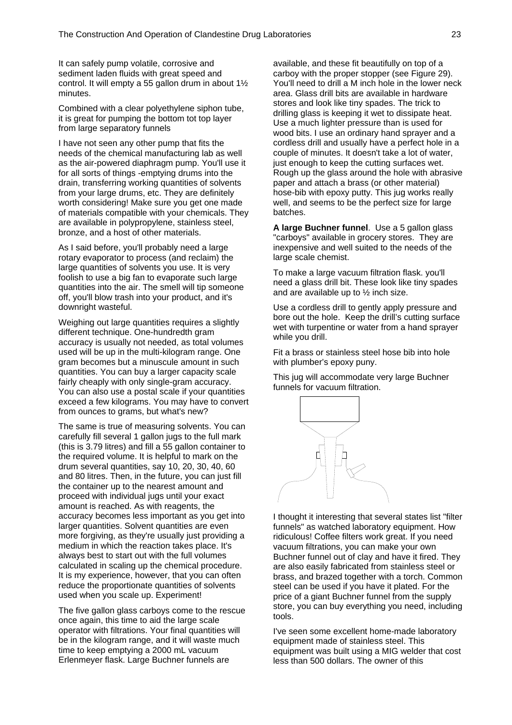It can safely pump volatile, corrosive and sediment laden fluids with great speed and control. It will empty a 55 gallon drum in about 1½ minutes.

Combined with a clear polyethylene siphon tube, it is great for pumping the bottom tot top layer from large separatory funnels

I have not seen any other pump that fits the needs of the chemical manufacturing lab as well as the air-powered diaphragm pump. You'll use it for all sorts of things -emptying drums into the drain, transferring working quantities of solvents from your large drums, etc. They are definitely worth considering! Make sure you get one made of materials compatible with your chemicals. They are available in polypropylene, stainless steel, bronze, and a host of other materials.

As I said before, you'll probably need a large rotary evaporator to process (and reclaim) the large quantities of solvents you use. It is very foolish to use a big fan to evaporate such large quantities into the air. The smell will tip someone off, you'll blow trash into your product, and it's downright wasteful.

Weighing out large quantities requires a slightly different technique. One-hundredth gram accuracy is usually not needed, as total volumes used will be up in the multi-kilogram range. One gram becomes but a minuscule amount in such quantities. You can buy a larger capacity scale fairly cheaply with only single-gram accuracy. You can also use a postal scale if your quantities exceed a few kilograms. You may have to convert from ounces to grams, but what's new?

The same is true of measuring solvents. You can carefully fill several 1 gallon jugs to the full mark (this is 3.79 litres) and fill a 55 gallon container to the required volume. It is helpful to mark on the drum several quantities, say 10, 20, 30, 40, 60 and 80 litres. Then, in the future, you can just fill the container up to the nearest amount and proceed with individual jugs until your exact amount is reached. As with reagents, the accuracy becomes less important as you get into larger quantities. Solvent quantities are even more forgiving, as they're usually just providing a medium in which the reaction takes place. It's always best to start out with the full volumes calculated in scaling up the chemical procedure. It is my experience, however, that you can often reduce the proportionate quantities of solvents used when you scale up. Experiment!

The five gallon glass carboys come to the rescue once again, this time to aid the large scale operator with filtrations. Your final quantities will be in the kilogram range, and it will waste much time to keep emptying a 2000 mL vacuum Erlenmeyer flask. Large Buchner funnels are

available, and these fit beautifully on top of a carboy with the proper stopper (see Figure 29). You'll need to drill a M inch hole in the lower neck area. Glass drill bits are available in hardware stores and look like tiny spades. The trick to drilling glass is keeping it wet to dissipate heat. Use a much lighter pressure than is used for wood bits. I use an ordinary hand sprayer and a cordless drill and usually have a perfect hole in a couple of minutes. It doesn't take a lot of water, just enough to keep the cutting surfaces wet. Rough up the glass around the hole with abrasive paper and attach a brass (or other material) hose-bib with epoxy putty. This jug works really well, and seems to be the perfect size for large batches.

**A large Buchner funnel**. Use a 5 gallon glass "carboys" available in grocery stores. They are inexpensive and well suited to the needs of the large scale chemist.

To make a large vacuum filtration flask. you'll need a glass drill bit. These look like tiny spades and are available up to ½ inch size.

Use a cordless drill to gently apply pressure and bore out the hole. Keep the drill's cutting surface wet with turpentine or water from a hand sprayer while you drill.

Fit a brass or stainless steel hose bib into hole with plumber's epoxy puny.

This jug will accommodate very large Buchner funnels for vacuum filtration.



I thought it interesting that several states list "filter funnels" as watched laboratory equipment. How ridiculous! Coffee filters work great. If you need vacuum filtrations, you can make your own Buchner funnel out of clay and have it fired. They are also easily fabricated from stainless steel or brass, and brazed together with a torch. Common steel can be used if you have it plated. For the price of a giant Buchner funnel from the supply store, you can buy everything you need, including tools.

I've seen some excellent home-made laboratory equipment made of stainless steel. This equipment was built using a MIG welder that cost less than 500 dollars. The owner of this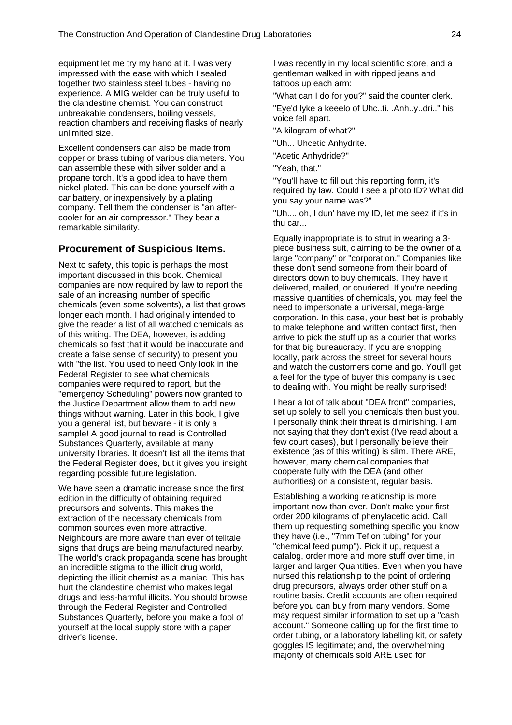equipment let me try my hand at it. I was very impressed with the ease with which I sealed together two stainless steel tubes - having no experience. A MIG welder can be truly useful to the clandestine chemist. You can construct unbreakable condensers, boiling vessels, reaction chambers and receiving flasks of nearly unlimited size.

Excellent condensers can also be made from copper or brass tubing of various diameters. You can assemble these with silver solder and a propane torch. It's a good idea to have them nickel plated. This can be done yourself with a car battery, or inexpensively by a plating company. Tell them the condenser is "an aftercooler for an air compressor." They bear a remarkable similarity.

## **Procurement of Suspicious Items.**

Next to safety, this topic is perhaps the most important discussed in this book. Chemical companies are now required by law to report the sale of an increasing number of specific chemicals (even some solvents), a list that grows longer each month. I had originally intended to give the reader a list of all watched chemicals as of this writing. The DEA, however, is adding chemicals so fast that it would be inaccurate and create a false sense of security) to present you with "the list. You used to need Only look in the Federal Register to see what chemicals companies were required to report, but the "emergency Scheduling" powers now granted to the Justice Department allow them to add new things without warning. Later in this book, I give you a general list, but beware - it is only a sample! A good journal to read is Controlled Substances Quarterly, available at many university libraries. It doesn't list all the items that the Federal Register does, but it gives you insight regarding possible future legislation.

We have seen a dramatic increase since the first edition in the difficulty of obtaining required precursors and solvents. This makes the extraction of the necessary chemicals from common sources even more attractive. Neighbours are more aware than ever of telltale signs that drugs are being manufactured nearby. The world's crack propaganda scene has brought an incredible stigma to the illicit drug world, depicting the illicit chemist as a maniac. This has hurt the clandestine chemist who makes legal drugs and less-harmful illicits. You should browse through the Federal Register and Controlled Substances Quarterly, before you make a fool of yourself at the local supply store with a paper driver's license.

I was recently in my local scientific store, and a gentleman walked in with ripped jeans and tattoos up each arm:

"What can I do for you?" said the counter clerk.

"Eye'd lyke a keeelo of Uhc..ti. .Anh..y..dri.." his voice fell apart.

"A kilogram of what?"

"Uh... Uhcetic Anhydrite.

"Acetic Anhydride?"

"Yeah, that."

"You'll have to fill out this reporting form, it's required by law. Could I see a photo ID? What did you say your name was?"

"Uh.... oh, I dun' have my ID, let me seez if it's in thu car...

Equally inappropriate is to strut in wearing a 3 piece business suit, claiming to be the owner of a large "company" or "corporation." Companies like these don't send someone from their board of directors down to buy chemicals. They have it delivered, mailed, or couriered. If you're needing massive quantities of chemicals, you may feel the need to impersonate a universal, mega-large corporation. In this case, your best bet is probably to make telephone and written contact first, then arrive to pick the stuff up as a courier that works for that big bureaucracy. If you are shopping locally, park across the street for several hours and watch the customers come and go. You'll get a feel for the type of buyer this company is used to dealing with. You might be really surprised!

I hear a lot of talk about "DEA front" companies, set up solely to sell you chemicals then bust you. I personally think their threat is diminishing. I am not saying that they don't exist (I've read about a few court cases), but I personally believe their existence (as of this writing) is slim. There ARE, however, many chemical companies that cooperate fully with the DEA (and other authorities) on a consistent, regular basis.

Establishing a working relationship is more important now than ever. Don't make your first order 200 kilograms of phenylacetic acid. Call them up requesting something specific you know they have (i.e., "7mm Teflon tubing" for your "chemical feed pump"). Pick it up, request a catalog, order more and more stuff over time, in larger and larger Quantities. Even when you have nursed this relationship to the point of ordering drug precursors, always order other stuff on a routine basis. Credit accounts are often required before you can buy from many vendors. Some may request similar information to set up a "cash account." Someone calling up for the first time to order tubing, or a laboratory labelling kit, or safety goggles IS legitimate; and, the overwhelming majority of chemicals sold ARE used for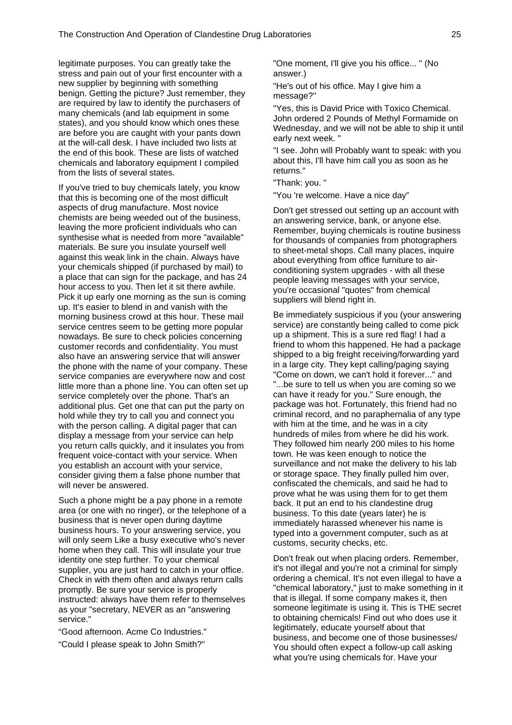legitimate purposes. You can greatly take the stress and pain out of your first encounter with a new supplier by beginning with something benign. Getting the picture? Just remember, they are required by law to identify the purchasers of many chemicals (and lab equipment in some states), and you should know which ones these are before you are caught with your pants down at the will-call desk. I have included two lists at the end of this book. These are lists of watched chemicals and laboratory equipment I compiled from the lists of several states.

If you've tried to buy chemicals lately, you know that this is becoming one of the most difficult aspects of drug manufacture. Most novice chemists are being weeded out of the business, leaving the more proficient individuals who can synthesise what is needed from more "available" materials. Be sure you insulate yourself well against this weak link in the chain. Always have your chemicals shipped (if purchased by mail) to a place that can sign for the package, and has 24 hour access to you. Then let it sit there awhile. Pick it up early one morning as the sun is coming up. It's easier to blend in and vanish with the morning business crowd at this hour. These mail service centres seem to be getting more popular nowadays. Be sure to check policies concerning customer records and confidentiality. You must also have an answering service that will answer the phone with the name of your company. These service companies are everywhere now and cost little more than a phone line. You can often set up service completely over the phone. That's an additional plus. Get one that can put the party on hold while they try to call you and connect you with the person calling. A digital pager that can display a message from your service can help you return calls quickly, and it insulates you from frequent voice-contact with your service. When you establish an account with your service, consider giving them a false phone number that will never be answered.

Such a phone might be a pay phone in a remote area (or one with no ringer), or the telephone of a business that is never open during daytime business hours. To your answering service, you will only seem Like a busy executive who's never home when they call. This will insulate your true identity one step further. To your chemical supplier, you are just hard to catch in your office. Check in with them often and always return calls promptly. Be sure your service is properly instructed: always have them refer to themselves as your "secretary, NEVER as an "answering service."

"Good afternoon. Acme Co Industries." "Could I please speak to John Smith?"

"One moment, I'll give you his office... " (No answer.)

"He's out of his office. May I give him a message?"

"Yes, this is David Price with Toxico Chemical. John ordered 2 Pounds of Methyl Formamide on Wednesday, and we will not be able to ship it until early next week. "

"I see. John will Probably want to speak: with you about this, I'll have him call you as soon as he returns."

"You 're welcome. Have a nice day"

Don't get stressed out setting up an account with an answering service, bank, or anyone else. Remember, buying chemicals is routine business for thousands of companies from photographers to sheet-metal shops. Call many places, inquire about everything from office furniture to airconditioning system upgrades - with all these people leaving messages with your service, you're occasional "quotes" from chemical suppliers will blend right in.

Be immediately suspicious if you (your answering service) are constantly being called to come pick up a shipment. This is a sure red flag! I had a friend to whom this happened. He had a package shipped to a big freight receiving/forwarding yard in a large city. They kept calling/paging saying "Come on down, we can't hold it forever..." and "...be sure to tell us when you are coming so we can have it ready for you." Sure enough, the package was hot. Fortunately, this friend had no criminal record, and no paraphernalia of any type with him at the time, and he was in a city hundreds of miles from where he did his work. They followed him nearly 200 miles to his home town. He was keen enough to notice the surveillance and not make the delivery to his lab or storage space. They finally pulled him over, confiscated the chemicals, and said he had to prove what he was using them for to get them back. It put an end to his clandestine drug business. To this date (years later) he is immediately harassed whenever his name is typed into a government computer, such as at customs, security checks, etc.

Don't freak out when placing orders. Remember, it's not illegal and you're not a criminal for simply ordering a chemical. It's not even illegal to have a "chemical laboratory," just to make something in it that is illegal. If some company makes it, then someone legitimate is using it. This is THE secret to obtaining chemicals! Find out who does use it legitimately, educate yourself about that business, and become one of those businesses/ You should often expect a follow-up call asking what you're using chemicals for. Have your

<sup>&</sup>quot;Thank: you. "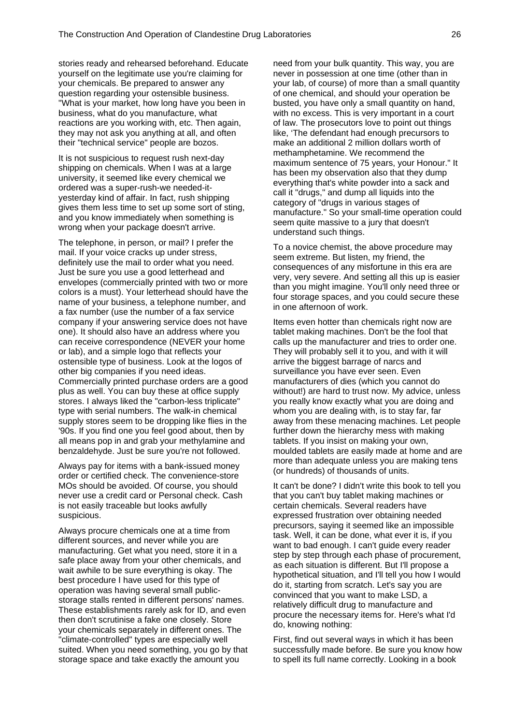stories ready and rehearsed beforehand. Educate yourself on the legitimate use you're claiming for your chemicals. Be prepared to answer any question regarding your ostensible business. "What is your market, how long have you been in business, what do you manufacture, what reactions are you working with, etc. Then again, they may not ask you anything at all, and often their "technical service" people are bozos.

It is not suspicious to request rush next-day shipping on chemicals. When I was at a large university, it seemed like every chemical we ordered was a super-rush-we needed-ityesterday kind of affair. In fact, rush shipping gives them less time to set up some sort of sting, and you know immediately when something is wrong when your package doesn't arrive.

The telephone, in person, or mail? I prefer the mail. If your voice cracks up under stress, definitely use the mail to order what you need. Just be sure you use a good letterhead and envelopes (commercially printed with two or more colors is a must). Your letterhead should have the name of your business, a telephone number, and a fax number (use the number of a fax service company if your answering service does not have one). It should also have an address where you can receive correspondence (NEVER your home or lab), and a simple logo that reflects your ostensible type of business. Look at the logos of other big companies if you need ideas. Commercially printed purchase orders are a good plus as well. You can buy these at office supply stores. I always liked the "carbon-less triplicate" type with serial numbers. The walk-in chemical supply stores seem to be dropping like flies in the '90s. If you find one you feel good about, then by all means pop in and grab your methylamine and benzaldehyde. Just be sure you're not followed.

Always pay for items with a bank-issued money order or certified check. The convenience-store MOs should be avoided. Of course, you should never use a credit card or Personal check. Cash is not easily traceable but looks awfully suspicious.

Always procure chemicals one at a time from different sources, and never while you are manufacturing. Get what you need, store it in a safe place away from your other chemicals, and wait awhile to be sure everything is okay. The best procedure I have used for this type of operation was having several small publicstorage stalls rented in different persons' names. These establishments rarely ask for ID, and even then don't scrutinise a fake one closely. Store your chemicals separately in different ones. The "climate-controlled" types are especially well suited. When you need something, you go by that storage space and take exactly the amount you

need from your bulk quantity. This way, you are never in possession at one time (other than in your lab, of course) of more than a small quantity of one chemical, and should your operation be busted, you have only a small quantity on hand, with no excess. This is very important in a court of law. The prosecutors love to point out things like, 'The defendant had enough precursors to make an additional 2 million dollars worth of methamphetamine. We recommend the maximum sentence of 75 years, your Honour." It has been my observation also that they dump everything that's white powder into a sack and call it "drugs," and dump all liquids into the category of "drugs in various stages of manufacture." So your small-time operation could seem quite massive to a jury that doesn't understand such things.

To a novice chemist, the above procedure may seem extreme. But listen, my friend, the consequences of any misfortune in this era are very, very severe. And setting all this up is easier than you might imagine. You'll only need three or four storage spaces, and you could secure these in one afternoon of work.

Items even hotter than chemicals right now are tablet making machines. Don't be the fool that calls up the manufacturer and tries to order one. They will probably sell it to you, and with it will arrive the biggest barrage of narcs and surveillance you have ever seen. Even manufacturers of dies (which you cannot do without!) are hard to trust now. My advice, unless you really know exactly what you are doing and whom you are dealing with, is to stay far, far away from these menacing machines. Let people further down the hierarchy mess with making tablets. If you insist on making your own, moulded tablets are easily made at home and are more than adequate unless you are making tens (or hundreds) of thousands of units.

It can't be done? I didn't write this book to tell you that you can't buy tablet making machines or certain chemicals. Several readers have expressed frustration over obtaining needed precursors, saying it seemed like an impossible task. Well, it can be done, what ever it is, if you want to bad enough. I can't guide every reader step by step through each phase of procurement, as each situation is different. But I'll propose a hypothetical situation, and I'll tell you how I would do it, starting from scratch. Let's say you are convinced that you want to make LSD, a relatively difficult drug to manufacture and procure the necessary items for. Here's what I'd do, knowing nothing:

First, find out several ways in which it has been successfully made before. Be sure you know how to spell its full name correctly. Looking in a book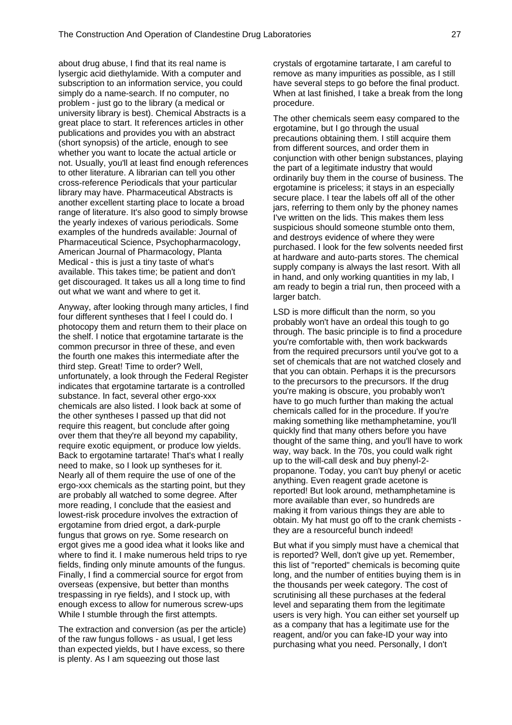about drug abuse, I find that its real name is lysergic acid diethylamide. With a computer and subscription to an information service, you could simply do a name-search. If no computer, no problem - just go to the library (a medical or university library is best). Chemical Abstracts is a great place to start. It references articles in other publications and provides you with an abstract (short synopsis) of the article, enough to see whether you want to locate the actual article or not. Usually, you'll at least find enough references to other literature. A librarian can tell you other cross-reference Periodicals that your particular library may have. Pharmaceutical Abstracts is another excellent starting place to locate a broad range of literature. It's also good to simply browse the yearly indexes of various periodicals. Some examples of the hundreds available: Journal of Pharmaceutical Science, Psychopharmacology, American Journal of Pharmacology, Planta Medical - this is just a tiny taste of what's available. This takes time; be patient and don't get discouraged. It takes us all a long time to find out what we want and where to get it.

Anyway, after looking through many articles, I find four different syntheses that I feel I could do. I photocopy them and return them to their place on the shelf. I notice that ergotamine tartarate is the common precursor in three of these, and even the fourth one makes this intermediate after the third step. Great! Time to order? Well, unfortunately, a look through the Federal Register indicates that ergotamine tartarate is a controlled substance. In fact, several other ergo-xxx chemicals are also listed. I look back at some of the other syntheses I passed up that did not require this reagent, but conclude after going over them that they're all beyond my capability, require exotic equipment, or produce low yields. Back to ergotamine tartarate! That's what I really need to make, so I look up syntheses for it. Nearly all of them require the use of one of the ergo-xxx chemicals as the starting point, but they are probably all watched to some degree. After more reading, I conclude that the easiest and lowest-risk procedure involves the extraction of ergotamine from dried ergot, a dark-purple fungus that grows on rye. Some research on ergot gives me a good idea what it looks like and where to find it. I make numerous held trips to rye fields, finding only minute amounts of the fungus. Finally, I find a commercial source for ergot from overseas (expensive, but better than months trespassing in rye fields), and I stock up, with enough excess to allow for numerous screw-ups While I stumble through the first attempts.

The extraction and conversion (as per the article) of the raw fungus follows - as usual, I get less than expected yields, but I have excess, so there is plenty. As I am squeezing out those last

crystals of ergotamine tartarate, I am careful to remove as many impurities as possible, as I still have several steps to go before the final product. When at last finished, I take a break from the long procedure.

The other chemicals seem easy compared to the ergotamine, but I go through the usual precautions obtaining them. I still acquire them from different sources, and order them in conjunction with other benign substances, playing the part of a legitimate industry that would ordinarily buy them in the course of business. The ergotamine is priceless; it stays in an especially secure place. I tear the labels off all of the other jars, referring to them only by the phoney names I've written on the lids. This makes them less suspicious should someone stumble onto them, and destroys evidence of where they were purchased. I look for the few solvents needed first at hardware and auto-parts stores. The chemical supply company is always the last resort. With all in hand, and only working quantities in my lab, I am ready to begin a trial run, then proceed with a larger batch.

LSD is more difficult than the norm, so you probably won't have an ordeal this tough to go through. The basic principle is to find a procedure you're comfortable with, then work backwards from the required precursors until you've got to a set of chemicals that are not watched closely and that you can obtain. Perhaps it is the precursors to the precursors to the precursors. If the drug you're making is obscure, you probably won't have to go much further than making the actual chemicals called for in the procedure. If you're making something like methamphetamine, you'll quickly find that many others before you have thought of the same thing, and you'll have to work way, way back. In the 70s, you could walk right up to the will-call desk and buy phenyl-2 propanone. Today, you can't buy phenyl or acetic anything. Even reagent grade acetone is reported! But look around, methamphetamine is more available than ever, so hundreds are making it from various things they are able to obtain. My hat must go off to the crank chemists they are a resourceful bunch indeed!

But what if you simply must have a chemical that is reported? Well, don't give up yet. Remember, this list of "reported" chemicals is becoming quite long, and the number of entities buying them is in the thousands per week category. The cost of scrutinising all these purchases at the federal level and separating them from the legitimate users is very high. You can either set yourself up as a company that has a legitimate use for the reagent, and/or you can fake-ID your way into purchasing what you need. Personally, I don't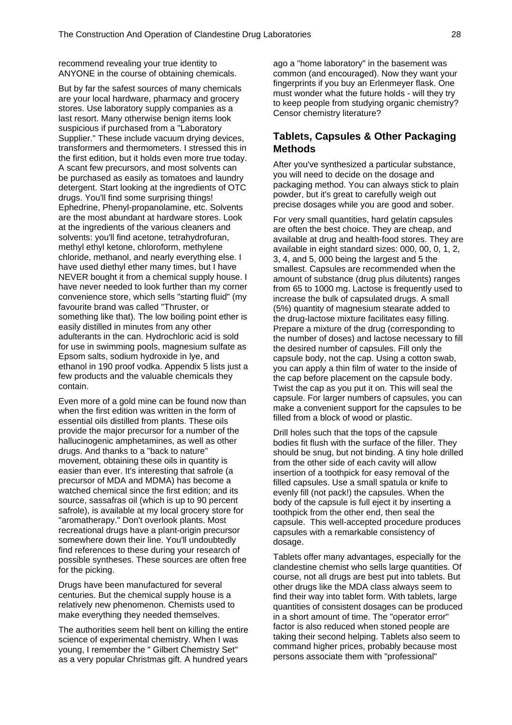recommend revealing your true identity to ANYONE in the course of obtaining chemicals.

But by far the safest sources of many chemicals are your local hardware, pharmacy and grocery stores. Use laboratory supply companies as a last resort. Many otherwise benign items look suspicious if purchased from a "Laboratory Supplier." These include vacuum drying devices, transformers and thermometers. I stressed this in the first edition, but it holds even more true today. A scant few precursors, and most solvents can be purchased as easily as tomatoes and laundry detergent. Start looking at the ingredients of OTC drugs. You'll find some surprising things! Ephedrine, Phenyl-propanolamine, etc. Solvents are the most abundant at hardware stores. Look at the ingredients of the various cleaners and solvents: you'll find acetone, tetrahydrofuran, methyl ethyl ketone, chloroform, methylene chloride, methanol, and nearly everything else. I have used diethyl ether many times, but I have NEVER bought it from a chemical supply house. I have never needed to look further than my corner convenience store, which sells "starting fluid" (my favourite brand was called "Thruster, or something like that). The low boiling point ether is easily distilled in minutes from any other adulterants in the can. Hydrochloric acid is sold for use in swimming pools, magnesium sulfate as Epsom salts, sodium hydroxide in lye, and ethanol in 190 proof vodka. Appendix 5 lists just a few products and the valuable chemicals they contain.

Even more of a gold mine can be found now than when the first edition was written in the form of essential oils distilled from plants. These oils provide the major precursor for a number of the hallucinogenic amphetamines, as well as other drugs. And thanks to a "back to nature" movement, obtaining these oils in quantity is easier than ever. It's interesting that safrole (a precursor of MDA and MDMA) has become a watched chemical since the first edition; and its source, sassafras oil (which is up to 90 percent safrole), is available at my local grocery store for "aromatherapy." Don't overlook plants. Most recreational drugs have a plant-origin precursor somewhere down their line. You'll undoubtedly find references to these during your research of possible syntheses. These sources are often free for the picking.

Drugs have been manufactured for several centuries. But the chemical supply house is a relatively new phenomenon. Chemists used to make everything they needed themselves.

The authorities seem hell bent on killing the entire science of experimental chemistry. When I was young, I remember the " Gilbert Chemistry Set" as a very popular Christmas gift. A hundred years ago a "home laboratory" in the basement was common (and encouraged). Now they want your fingerprints if you buy an Erlenmeyer flask. One must wonder what the future holds - will they try to keep people from studying organic chemistry? Censor chemistry literature?

# **Tablets, Capsules & Other Packaging Methods**

After you've synthesized a particular substance, you will need to decide on the dosage and packaging method. You can always stick to plain powder, but it's great to carefully weigh out precise dosages while you are good and sober.

For very small quantities, hard gelatin capsules are often the best choice. They are cheap, and available at drug and health-food stores. They are available in eight standard sizes: 000, 00, 0, 1, 2, 3, 4, and 5, 000 being the largest and 5 the smallest. Capsules are recommended when the amount of substance (drug plus dilutents) ranges from 65 to 1000 mg. Lactose is frequently used to increase the bulk of capsulated drugs. A small (5%) quantity of magnesium stearate added to the drug-lactose mixture facilitates easy filling. Prepare a mixture of the drug (corresponding to the number of doses) and lactose necessary to fill the desired number of capsules. Fill only the capsule body, not the cap. Using a cotton swab, you can apply a thin film of water to the inside of the cap before placement on the capsule body. Twist the cap as you put it on. This will seal the capsule. For larger numbers of capsules, you can make a convenient support for the capsules to be filled from a block of wood or plastic.

Drill holes such that the tops of the capsule bodies fit flush with the surface of the filler. They should be snug, but not binding. A tiny hole drilled from the other side of each cavity will allow insertion of a toothpick for easy removal of the filled capsules. Use a small spatula or knife to evenly fill (not pack!) the capsules. When the body of the capsule is full eject it by inserting a toothpick from the other end, then seal the capsule. This well-accepted procedure produces capsules with a remarkable consistency of dosage.

Tablets offer many advantages, especially for the clandestine chemist who sells large quantities. Of course, not all drugs are best put into tablets. But other drugs like the MDA class always seem to find their way into tablet form. With tablets, large quantities of consistent dosages can be produced in a short amount of time. The "operator error" factor is also reduced when stoned people are taking their second helping. Tablets also seem to command higher prices, probably because most persons associate them with "professional"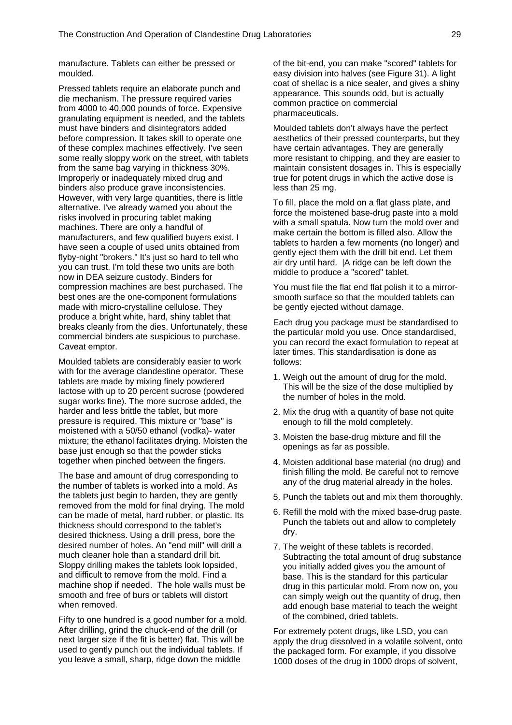manufacture. Tablets can either be pressed or moulded.

Pressed tablets require an elaborate punch and die mechanism. The pressure required varies from 4000 to 40,000 pounds of force. Expensive granulating equipment is needed, and the tablets must have binders and disintegrators added before compression. It takes skill to operate one of these complex machines effectively. I've seen some really sloppy work on the street, with tablets from the same bag varying in thickness 30%. Improperly or inadequately mixed drug and binders also produce grave inconsistencies. However, with very large quantities, there is little alternative. I've already warned you about the risks involved in procuring tablet making machines. There are only a handful of manufacturers, and few qualified buyers exist. I have seen a couple of used units obtained from flyby-night "brokers." It's just so hard to tell who you can trust. I'm told these two units are both now in DEA seizure custody. Binders for compression machines are best purchased. The best ones are the one-component formulations made with micro-crystalline cellulose. They produce a bright white, hard, shiny tablet that breaks cleanly from the dies. Unfortunately, these commercial binders ate suspicious to purchase. Caveat emptor.

Moulded tablets are considerably easier to work with for the average clandestine operator. These tablets are made by mixing finely powdered lactose with up to 20 percent sucrose (powdered sugar works fine). The more sucrose added, the harder and less brittle the tablet, but more pressure is required. This mixture or "base" is moistened with a 50/50 ethanol (vodka)- water mixture; the ethanol facilitates drying. Moisten the base just enough so that the powder sticks together when pinched between the fingers.

The base and amount of drug corresponding to the number of tablets is worked into a mold. As the tablets just begin to harden, they are gently removed from the mold for final drying. The mold can be made of metal, hard rubber, or plastic. Its thickness should correspond to the tablet's desired thickness. Using a drill press, bore the desired number of holes. An "end mill" will drill a much cleaner hole than a standard drill bit. Sloppy drilling makes the tablets look lopsided, and difficult to remove from the mold. Find a machine shop if needed. The hole walls must be smooth and free of burs or tablets will distort when removed.

Fifty to one hundred is a good number for a mold. After drilling, grind the chuck-end of the drill (or next larger size if the fit is better) flat. This will be used to gently punch out the individual tablets. If you leave a small, sharp, ridge down the middle

of the bit-end, you can make "scored" tablets for easy division into halves (see Figure 31). A light coat of shellac is a nice sealer, and gives a shiny appearance. This sounds odd, but is actually common practice on commercial pharmaceuticals.

Moulded tablets don't always have the perfect aesthetics of their pressed counterparts, but they have certain advantages. They are generally more resistant to chipping, and they are easier to maintain consistent dosages in. This is especially true for potent drugs in which the active dose is less than 25 mg.

To fill, place the mold on a flat glass plate, and force the moistened base-drug paste into a mold with a small spatula. Now turn the mold over and make certain the bottom is filled also. Allow the tablets to harden a few moments (no longer) and gently eject them with the drill bit end. Let them air dry until hard. |A ridge can be left down the middle to produce a "scored" tablet.

You must file the flat end flat polish it to a mirrorsmooth surface so that the moulded tablets can be gently ejected without damage.

Each drug you package must be standardised to the particular mold you use. Once standardised, you can record the exact formulation to repeat at later times. This standardisation is done as follows:

- 1. Weigh out the amount of drug for the mold. This will be the size of the dose multiplied by the number of holes in the mold.
- 2. Mix the drug with a quantity of base not quite enough to fill the mold completely.
- 3. Moisten the base-drug mixture and fill the openings as far as possible.
- 4. Moisten additional base material (no drug) and finish filling the mold. Be careful not to remove any of the drug material already in the holes.
- 5. Punch the tablets out and mix them thoroughly.
- 6. Refill the mold with the mixed base-drug paste. Punch the tablets out and allow to completely dry.
- 7. The weight of these tablets is recorded. Subtracting the total amount of drug substance you initially added gives you the amount of base. This is the standard for this particular drug in this particular mold. From now on, you can simply weigh out the quantity of drug, then add enough base material to teach the weight of the combined, dried tablets.

For extremely potent drugs, like LSD, you can apply the drug dissolved in a volatile solvent, onto the packaged form. For example, if you dissolve 1000 doses of the drug in 1000 drops of solvent,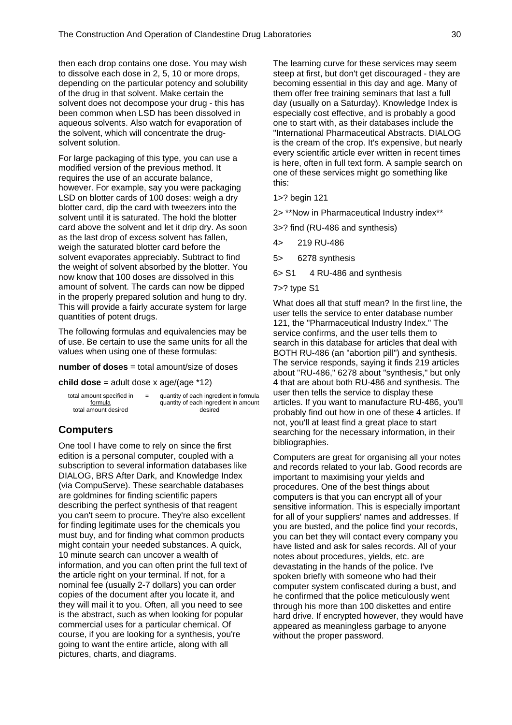then each drop contains one dose. You may wish to dissolve each dose in 2, 5, 10 or more drops, depending on the particular potency and solubility of the drug in that solvent. Make certain the solvent does not decompose your drug - this has been common when LSD has been dissolved in aqueous solvents. Also watch for evaporation of the solvent, which will concentrate the drugsolvent solution.

For large packaging of this type, you can use a modified version of the previous method. It requires the use of an accurate balance, however. For example, say you were packaging LSD on blotter cards of 100 doses: weigh a dry blotter card, dip the card with tweezers into the solvent until it is saturated. The hold the blotter card above the solvent and let it drip dry. As soon as the last drop of excess solvent has fallen, weigh the saturated blotter card before the solvent evaporates appreciably. Subtract to find the weight of solvent absorbed by the blotter. You now know that 100 doses are dissolved in this amount of solvent. The cards can now be dipped in the properly prepared solution and hung to dry. This will provide a fairly accurate system for large quantities of potent drugs.

The following formulas and equivalencies may be of use. Be certain to use the same units for all the values when using one of these formulas:

#### **number of doses** = total amount/size of doses

**child dose** = adult dose x age/(age \*12)

| total amount specified in | $=$ | quantity of each ingredient in formula |
|---------------------------|-----|----------------------------------------|
| formula                   |     | quantity of each ingredient in amount  |
| total amount desired      |     | desired                                |

### **Computers**

One tool I have come to rely on since the first edition is a personal computer, coupled with a subscription to several information databases like DIALOG, BRS After Dark, and Knowledge Index (via CompuServe). These searchable databases are goldmines for finding scientific papers describing the perfect synthesis of that reagent you can't seem to procure. They're also excellent for finding legitimate uses for the chemicals you must buy, and for finding what common products might contain your needed substances. A quick, 10 minute search can uncover a wealth of information, and you can often print the full text of the article right on your terminal. If not, for a nominal fee (usually 2-7 dollars) you can order copies of the document after you locate it, and they will mail it to you. Often, all you need to see is the abstract, such as when looking for popular commercial uses for a particular chemical. Of course, if you are looking for a synthesis, you're going to want the entire article, along with all pictures, charts, and diagrams.

The learning curve for these services may seem steep at first, but don't get discouraged - they are becoming essential in this day and age. Many of them offer free training seminars that last a full day (usually on a Saturday). Knowledge Index is especially cost effective, and is probably a good one to start with, as their databases include the "International Pharmaceutical Abstracts. DIALOG is the cream of the crop. It's expensive, but nearly every scientific article ever written in recent times is here, often in full text form. A sample search on one of these services might go something like this:

1>? begin 121

2> \*\*Now in Pharmaceutical Industry index\*\*

3>? find (RU-486 and synthesis)

4> 219 RU-486

5> 6278 synthesis

6> S1 4 RU-486 and synthesis

### 7>? type S1

What does all that stuff mean? In the first line, the user tells the service to enter database number 121, the "Pharmaceutical Industry Index." The service confirms, and the user tells them to search in this database for articles that deal with BOTH RU-486 (an "abortion pill") and synthesis. The service responds, saying it finds 219 articles about "RU-486," 6278 about "synthesis," but only 4 that are about both RU-486 and synthesis. The user then tells the service to display these articles. If you want to manufacture RU-486, you'll probably find out how in one of these 4 articles. If not, you'll at least find a great place to start searching for the necessary information, in their bibliographies.

Computers are great for organising all your notes and records related to your lab. Good records are important to maximising your yields and procedures. One of the best things about computers is that you can encrypt all of your sensitive information. This is especially important for all of your suppliers' names and addresses. If you are busted, and the police find your records, you can bet they will contact every company you have listed and ask for sales records. All of your notes about procedures, yields, etc. are devastating in the hands of the police. I've spoken briefly with someone who had their computer system confiscated during a bust, and he confirmed that the police meticulously went through his more than 100 diskettes and entire hard drive. If encrypted however, they would have appeared as meaningless garbage to anyone without the proper password.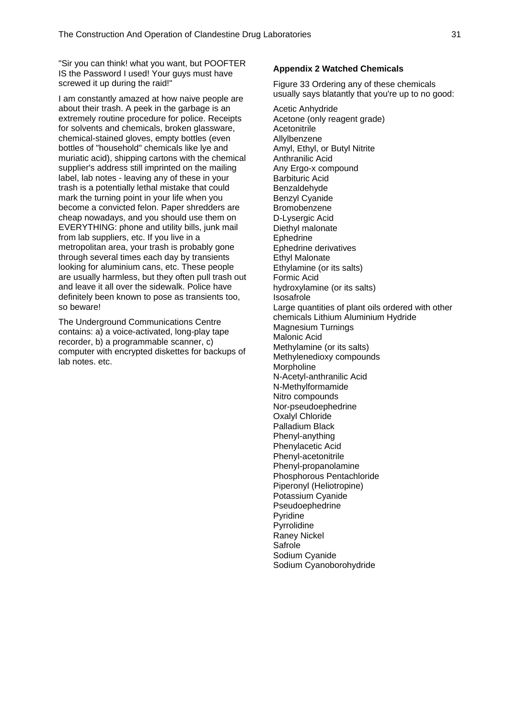"Sir you can think! what you want, but POOFTER IS the Password I used! Your guys must have screwed it up during the raid!"

I am constantly amazed at how naive people are about their trash. A peek in the garbage is an extremely routine procedure for police. Receipts for solvents and chemicals, broken glassware, chemical-stained gloves, empty bottles (even bottles of "household" chemicals like lye and muriatic acid), shipping cartons with the chemical supplier's address still imprinted on the mailing label, lab notes - leaving any of these in your trash is a potentially lethal mistake that could mark the turning point in your life when you become a convicted felon. Paper shredders are cheap nowadays, and you should use them on EVERYTHING: phone and utility bills, junk mail from lab suppliers, etc. If you live in a metropolitan area, your trash is probably gone through several times each day by transients looking for aluminium cans, etc. These people are usually harmless, but they often pull trash out and leave it all over the sidewalk. Police have definitely been known to pose as transients too, so beware!

The Underground Communications Centre contains: a) a voice-activated, long-play tape recorder, b) a programmable scanner, c) computer with encrypted diskettes for backups of lab notes. etc.

#### **Appendix 2 Watched Chemicals**

Figure 33 Ordering any of these chemicals usually says blatantly that you're up to no good:

Acetic Anhydride Acetone (only reagent grade) **Acetonitrile** Allylbenzene Amyl, Ethyl, or Butyl Nitrite Anthranilic Acid Any Ergo-x compound Barbituric Acid Benzaldehyde Benzyl Cyanide Bromobenzene D-Lysergic Acid Diethyl malonate Ephedrine Ephedrine derivatives Ethyl Malonate Ethylamine (or its salts) Formic Acid hydroxylamine (or its salts) **Isosafrole** Large quantities of plant oils ordered with other chemicals Lithium Aluminium Hydride Magnesium Turnings Malonic Acid Methylamine (or its salts) Methylenedioxy compounds Morpholine N-Acetyl-anthranilic Acid N-Methylformamide Nitro compounds Nor-pseudoephedrine Oxalyl Chloride Palladium Black Phenyl-anything Phenylacetic Acid Phenyl-acetonitrile Phenyl-propanolamine Phosphorous Pentachloride Piperonyl (Heliotropine) Potassium Cyanide Pseudoephedrine Pyridine Pyrrolidine Raney Nickel Safrole Sodium Cyanide Sodium Cyanoborohydride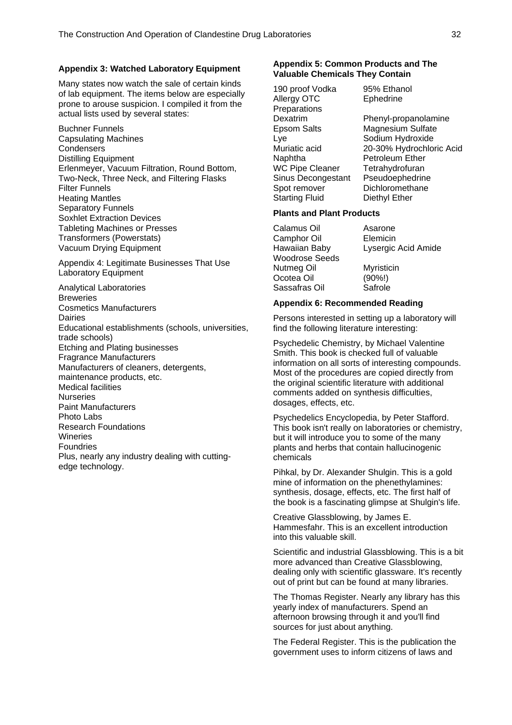#### **Appendix 3: Watched Laboratory Equipment**

Many states now watch the sale of certain kinds of lab equipment. The items below are especially prone to arouse suspicion. I compiled it from the actual lists used by several states:

Buchner Funnels Capsulating Machines **Condensers** Distilling Equipment Erlenmeyer, Vacuum Filtration, Round Bottom, Two-Neck, Three Neck, and Filtering Flasks Filter Funnels Heating Mantles Separatory Funnels Soxhlet Extraction Devices Tableting Machines or Presses Transformers (Powerstats) Vacuum Drying Equipment

Appendix 4: Legitimate Businesses That Use Laboratory Equipment

Analytical Laboratories **Breweries** Cosmetics Manufacturers Dairies Educational establishments (schools, universities, trade schools) Etching and Plating businesses Fragrance Manufacturers Manufacturers of cleaners, detergents, maintenance products, etc. Medical facilities Nurseries Paint Manufacturers Photo Labs Research Foundations Wineries Foundries Plus, nearly any industry dealing with cuttingedge technology.

#### **Appendix 5: Common Products and The Valuable Chemicals They Contain**

| 190 proof Vodka        | 95% Ethanol              |
|------------------------|--------------------------|
| Allergy OTC            | Ephedrine                |
| Preparations           |                          |
| Dexatrim               | Phenyl-propanolamine     |
| Epsom Salts            | <b>Magnesium Sulfate</b> |
| Lye                    | Sodium Hydroxide         |
| Muriatic acid          | 20-30% Hydrochloric Acid |
| Naphtha                | Petroleum Ether          |
| <b>WC Pipe Cleaner</b> | Tetrahydrofuran          |
| Sinus Decongestant     | Pseudoephedrine          |
| Spot remover           | Dichloromethane          |
| <b>Starting Fluid</b>  | Diethyl Ether            |
|                        |                          |

#### **Plants and Plant Products**

| Calamus Oil           | Asarone             |
|-----------------------|---------------------|
| Camphor Oil           | Elemicin            |
| Hawaiian Baby         | Lysergic Acid Amide |
| <b>Woodrose Seeds</b> |                     |
| Nutmeg Oil            | Myristicin          |
| Ocotea Oil            | $(90\%!)$           |
| Sassafras Oil         | Safrole             |

#### **Appendix 6: Recommended Reading**

Persons interested in setting up a laboratory will find the following literature interesting:

Psychedelic Chemistry, by Michael Valentine Smith. This book is checked full of valuable information on all sorts of interesting compounds. Most of the procedures are copied directly from the original scientific literature with additional comments added on synthesis difficulties, dosages, effects, etc.

Psychedelics Encyclopedia, by Peter Stafford. This book isn't really on laboratories or chemistry, but it will introduce you to some of the many plants and herbs that contain hallucinogenic chemicals

Pihkal, by Dr. Alexander Shulgin. This is a gold mine of information on the phenethylamines: synthesis, dosage, effects, etc. The first half of the book is a fascinating glimpse at Shulgin's life.

Creative Glassblowing, by James E. Hammesfahr. This is an excellent introduction into this valuable skill.

Scientific and industrial Glassblowing. This is a bit more advanced than Creative Glassblowing, dealing only with scientific glassware. It's recently out of print but can be found at many libraries.

The Thomas Register. Nearly any library has this yearly index of manufacturers. Spend an afternoon browsing through it and you'll find sources for just about anything.

The Federal Register. This is the publication the government uses to inform citizens of laws and